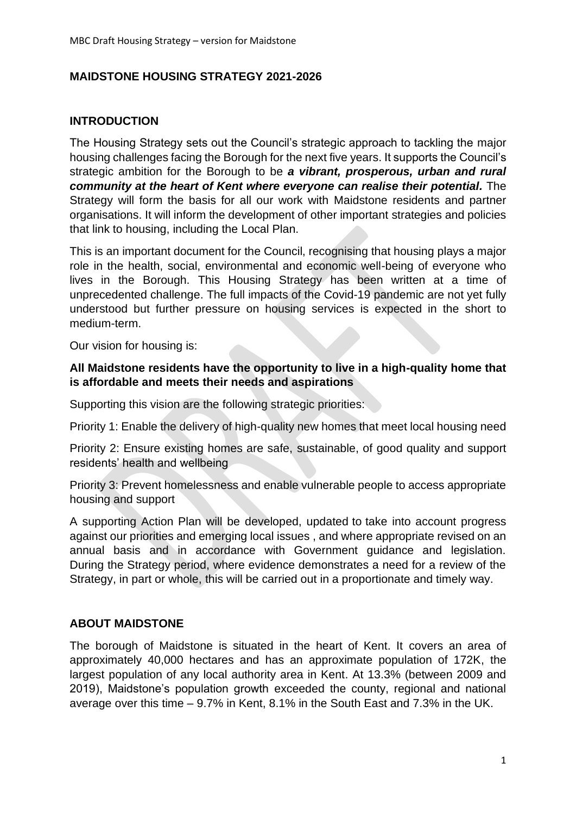### **MAIDSTONE HOUSING STRATEGY 2021-2026**

## **INTRODUCTION**

The Housing Strategy sets out the Council's strategic approach to tackling the major housing challenges facing the Borough for the next five years. It supports the Council's strategic ambition for the Borough to be *a vibrant, prosperous, urban and rural community at the heart of Kent where everyone can realise their potential.* **The** Strategy will form the basis for all our work with Maidstone residents and partner organisations. It will inform the development of other important strategies and policies that link to housing, including the Local Plan.

This is an important document for the Council, recognising that housing plays a major role in the health, social, environmental and economic well-being of everyone who lives in the Borough. This Housing Strategy has been written at a time of unprecedented challenge. The full impacts of the Covid-19 pandemic are not yet fully understood but further pressure on housing services is expected in the short to medium-term.

Our vision for housing is:

#### **All Maidstone residents have the opportunity to live in a high-quality home that is affordable and meets their needs and aspirations**

Supporting this vision are the following strategic priorities:

Priority 1: Enable the delivery of high-quality new homes that meet local housing need

Priority 2: Ensure existing homes are safe, sustainable, of good quality and support residents' health and wellbeing

Priority 3: Prevent homelessness and enable vulnerable people to access appropriate housing and support

A supporting Action Plan will be developed, updated to take into account progress against our priorities and emerging local issues , and where appropriate revised on an annual basis and in accordance with Government guidance and legislation. During the Strategy period, where evidence demonstrates a need for a review of the Strategy, in part or whole, this will be carried out in a proportionate and timely way.

## **ABOUT MAIDSTONE**

The borough of Maidstone is situated in the heart of Kent. It covers an area of approximately 40,000 hectares and has an approximate population of 172K, the largest population of any local authority area in Kent. At 13.3% (between 2009 and 2019), Maidstone's population growth exceeded the county, regional and national average over this time – 9.7% in Kent, 8.1% in the South East and 7.3% in the UK.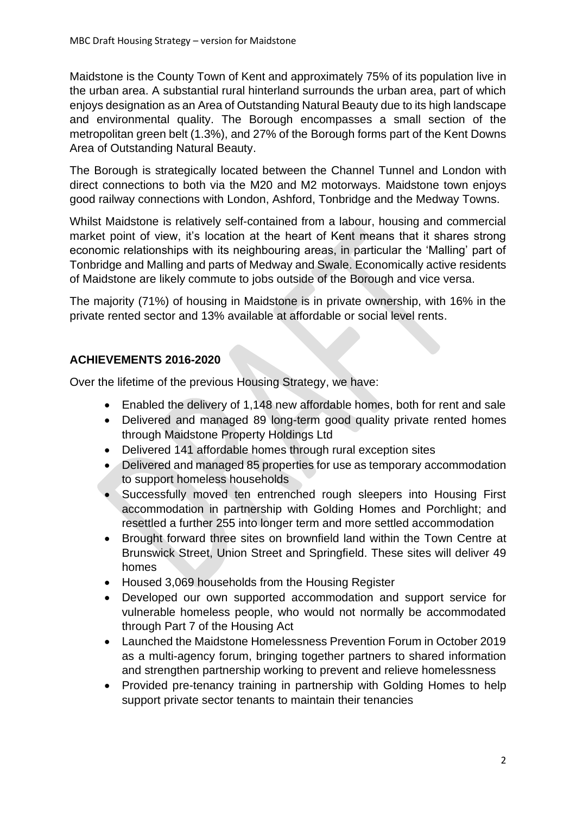Maidstone is the County Town of Kent and approximately 75% of its population live in the urban area. A substantial rural hinterland surrounds the urban area, part of which enjoys designation as an Area of Outstanding Natural Beauty due to its high landscape and environmental quality. The Borough encompasses a small section of the metropolitan green belt (1.3%), and 27% of the Borough forms part of the Kent Downs Area of Outstanding Natural Beauty.

The Borough is strategically located between the Channel Tunnel and London with direct connections to both via the M20 and M2 motorways. Maidstone town enjoys good railway connections with London, Ashford, Tonbridge and the Medway Towns.

Whilst Maidstone is relatively self-contained from a labour, housing and commercial market point of view, it's location at the heart of Kent means that it shares strong economic relationships with its neighbouring areas, in particular the 'Malling' part of Tonbridge and Malling and parts of Medway and Swale. Economically active residents of Maidstone are likely commute to jobs outside of the Borough and vice versa.

The majority (71%) of housing in Maidstone is in private ownership, with 16% in the private rented sector and 13% available at affordable or social level rents.

# **ACHIEVEMENTS 2016-2020**

Over the lifetime of the previous Housing Strategy, we have:

- Enabled the delivery of 1,148 new affordable homes, both for rent and sale
- Delivered and managed 89 long-term good quality private rented homes through Maidstone Property Holdings Ltd
- Delivered 141 affordable homes through rural exception sites
- Delivered and managed 85 properties for use as temporary accommodation to support homeless households
- Successfully moved ten entrenched rough sleepers into Housing First accommodation in partnership with Golding Homes and Porchlight; and resettled a further 255 into longer term and more settled accommodation
- Brought forward three sites on brownfield land within the Town Centre at Brunswick Street, Union Street and Springfield. These sites will deliver 49 homes
- Housed 3,069 households from the Housing Register
- Developed our own supported accommodation and support service for vulnerable homeless people, who would not normally be accommodated through Part 7 of the Housing Act
- Launched the Maidstone Homelessness Prevention Forum in October 2019 as a multi-agency forum, bringing together partners to shared information and strengthen partnership working to prevent and relieve homelessness
- Provided pre-tenancy training in partnership with Golding Homes to help support private sector tenants to maintain their tenancies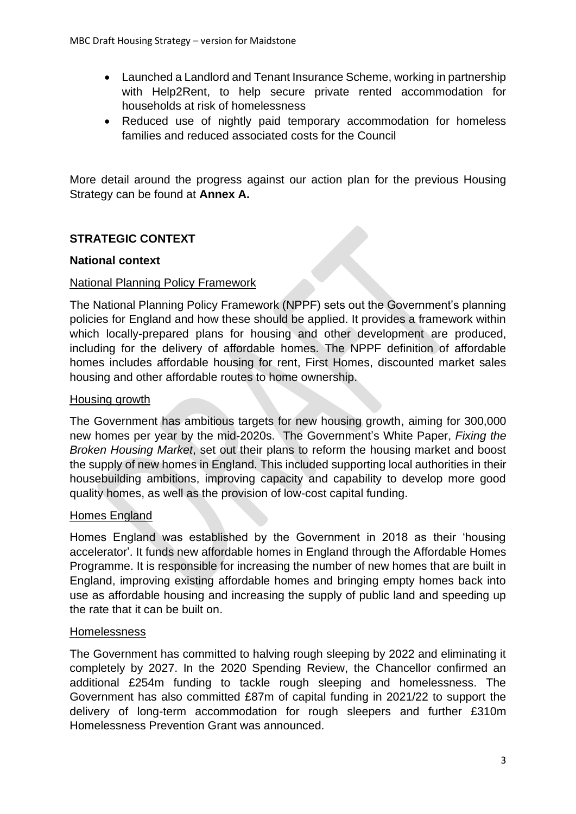- Launched a Landlord and Tenant Insurance Scheme, working in partnership with Help2Rent, to help secure private rented accommodation for households at risk of homelessness
- Reduced use of nightly paid temporary accommodation for homeless families and reduced associated costs for the Council

More detail around the progress against our action plan for the previous Housing Strategy can be found at **Annex A.**

# **STRATEGIC CONTEXT**

### **National context**

### National Planning Policy Framework

The National Planning Policy Framework (NPPF) sets out the Government's planning policies for England and how these should be applied. It provides a framework within which locally-prepared plans for housing and other development are produced, including for the delivery of affordable homes. The NPPF definition of affordable homes includes affordable housing for rent, First Homes, discounted market sales housing and other affordable routes to home ownership.

### Housing growth

The Government has ambitious targets for new housing growth, aiming for 300,000 new homes per year by the mid-2020s. The Government's White Paper, *Fixing the Broken Housing Market*, set out their plans to reform the housing market and boost the supply of new homes in England. This included supporting local authorities in their housebuilding ambitions, improving capacity and capability to develop more good quality homes, as well as the provision of low-cost capital funding.

#### Homes England

Homes England was established by the Government in 2018 as their 'housing accelerator'. It funds new affordable homes in England through the Affordable Homes Programme. It is responsible for increasing the number of new homes that are built in England, improving existing affordable homes and bringing empty homes back into use as affordable housing and increasing the supply of public land and speeding up the rate that it can be built on.

#### Homelessness

The Government has committed to halving rough sleeping by 2022 and eliminating it completely by 2027. In the 2020 Spending Review, the Chancellor confirmed an additional £254m funding to tackle rough sleeping and homelessness. The Government has also committed £87m of capital funding in 2021/22 to support the delivery of long-term accommodation for rough sleepers and further £310m Homelessness Prevention Grant was announced.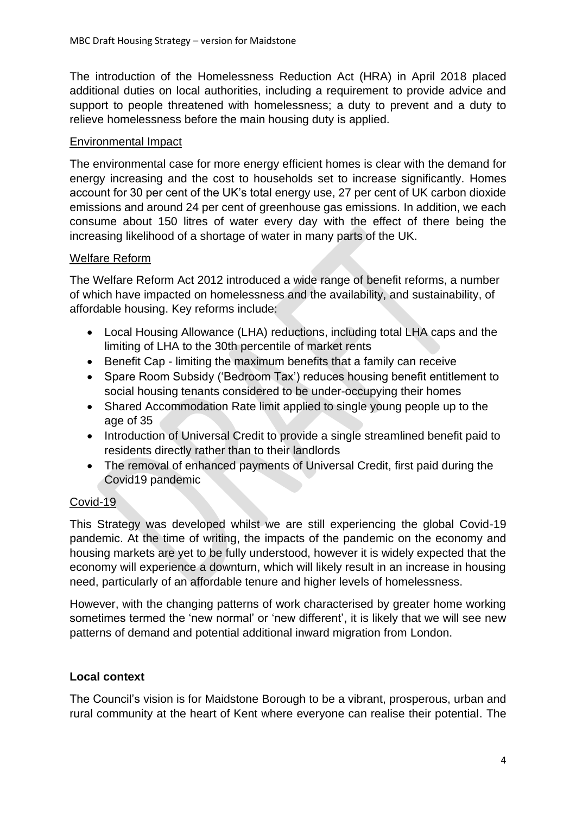The introduction of the Homelessness Reduction Act (HRA) in April 2018 placed additional duties on local authorities, including a requirement to provide advice and support to people threatened with homelessness; a duty to prevent and a duty to relieve homelessness before the main housing duty is applied.

### Environmental Impact

The environmental case for more energy efficient homes is clear with the demand for energy increasing and the cost to households set to increase significantly. Homes account for 30 per cent of the UK's total energy use, 27 per cent of UK carbon dioxide emissions and around 24 per cent of greenhouse gas emissions. In addition, we each consume about 150 litres of water every day with the effect of there being the increasing likelihood of a shortage of water in many parts of the UK.

### Welfare Reform

The Welfare Reform Act 2012 introduced a wide range of benefit reforms, a number of which have impacted on homelessness and the availability, and sustainability, of affordable housing. Key reforms include:

- Local Housing Allowance (LHA) reductions, including total LHA caps and the limiting of LHA to the 30th percentile of market rents
- Benefit Cap limiting the maximum benefits that a family can receive
- Spare Room Subsidy ('Bedroom Tax') reduces housing benefit entitlement to social housing tenants considered to be under-occupying their homes
- Shared Accommodation Rate limit applied to single young people up to the age of 35
- Introduction of Universal Credit to provide a single streamlined benefit paid to residents directly rather than to their landlords
- The removal of enhanced payments of Universal Credit, first paid during the Covid19 pandemic

## Covid-19

This Strategy was developed whilst we are still experiencing the global Covid-19 pandemic. At the time of writing, the impacts of the pandemic on the economy and housing markets are yet to be fully understood, however it is widely expected that the economy will experience a downturn, which will likely result in an increase in housing need, particularly of an affordable tenure and higher levels of homelessness.

However, with the changing patterns of work characterised by greater home working sometimes termed the 'new normal' or 'new different', it is likely that we will see new patterns of demand and potential additional inward migration from London.

## **Local context**

The Council's vision is for Maidstone Borough to be a vibrant, prosperous, urban and rural community at the heart of Kent where everyone can realise their potential. The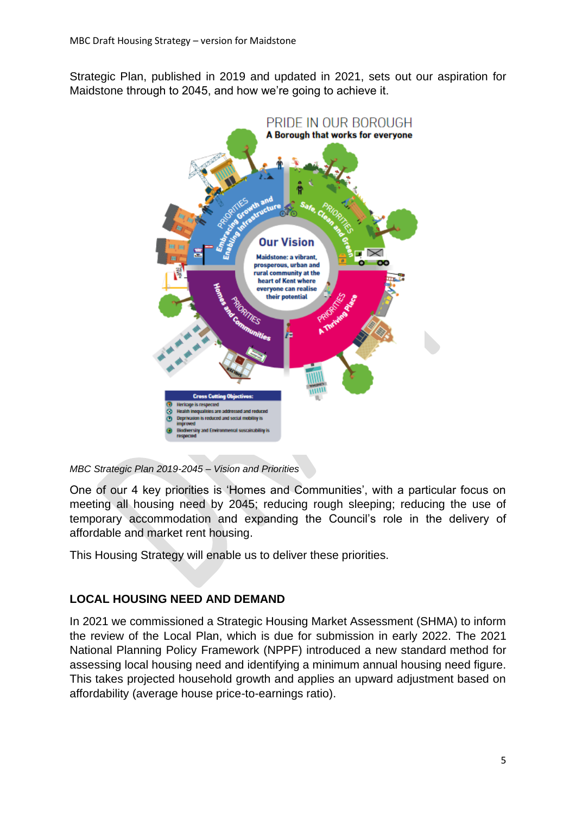Strategic Plan, published in 2019 and updated in 2021, sets out our aspiration for Maidstone through to 2045, and how we're going to achieve it.



#### *MBC Strategic Plan 2019-2045 – Vision and Priorities*

One of our 4 key priorities is 'Homes and Communities', with a particular focus on meeting all housing need by 2045; reducing rough sleeping; reducing the use of temporary accommodation and expanding the Council's role in the delivery of affordable and market rent housing.

This Housing Strategy will enable us to deliver these priorities.

#### **LOCAL HOUSING NEED AND DEMAND**

In 2021 we commissioned a Strategic Housing Market Assessment (SHMA) to inform the review of the Local Plan, which is due for submission in early 2022. The 2021 National Planning Policy Framework (NPPF) introduced a new standard method for assessing local housing need and identifying a minimum annual housing need figure. This takes projected household growth and applies an upward adjustment based on affordability (average house price-to-earnings ratio).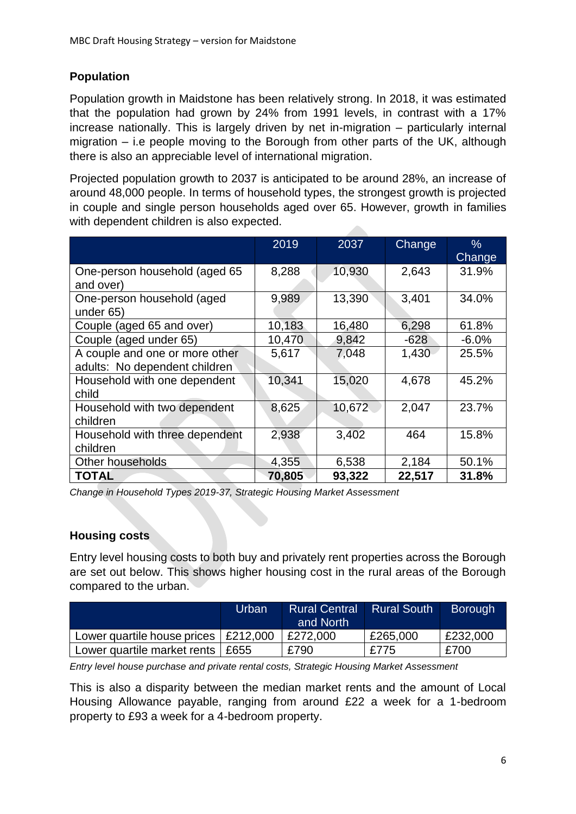# **Population**

Population growth in Maidstone has been relatively strong. In 2018, it was estimated that the population had grown by 24% from 1991 levels, in contrast with a 17% increase nationally. This is largely driven by net in-migration – particularly internal migration – i.e people moving to the Borough from other parts of the UK, although there is also an appreciable level of international migration.

Projected population growth to 2037 is anticipated to be around 28%, an increase of around 48,000 people. In terms of household types, the strongest growth is projected in couple and single person households aged over 65. However, growth in families with dependent children is also expected.

|                                                                 | 2019   | 2037   | Change | $\%$<br>Change |
|-----------------------------------------------------------------|--------|--------|--------|----------------|
| One-person household (aged 65<br>and over)                      | 8,288  | 10,930 | 2,643  | 31.9%          |
| One-person household (aged<br>under 65)                         | 9,989  | 13,390 | 3,401  | 34.0%          |
| Couple (aged 65 and over)                                       | 10,183 | 16,480 | 6,298  | 61.8%          |
| Couple (aged under 65)                                          | 10,470 | 9,842  | $-628$ | $-6.0\%$       |
| A couple and one or more other<br>adults: No dependent children | 5,617  | 7,048  | 1,430  | 25.5%          |
| Household with one dependent<br>child                           | 10,341 | 15,020 | 4,678  | 45.2%          |
| Household with two dependent<br>children                        | 8,625  | 10,672 | 2,047  | 23.7%          |
| Household with three dependent<br>children                      | 2,938  | 3,402  | 464    | 15.8%          |
| Other households                                                | 4,355  | 6,538  | 2,184  | 50.1%          |
| <b>TOTAL</b>                                                    | 70,805 | 93,322 | 22,517 | 31.8%          |

*Change in Household Types 2019-37, Strategic Housing Market Assessment*

## **Housing costs**

Entry level housing costs to both buy and privately rent properties across the Borough are set out below. This shows higher housing cost in the rural areas of the Borough compared to the urban.

|                             | Urban    | <b>Rural Central</b> | <b>Rural South</b> | <b>Borough</b> |
|-----------------------------|----------|----------------------|--------------------|----------------|
|                             |          | and North            |                    |                |
| Lower quartile house prices | £212,000 | £272,000             | £265,000           | £232,000       |
| Lower quartile market rents | £655     | £790                 | £775               | £700           |

*Entry level house purchase and private rental costs, Strategic Housing Market Assessment*

This is also a disparity between the median market rents and the amount of Local Housing Allowance payable, ranging from around £22 a week for a 1-bedroom property to £93 a week for a 4-bedroom property.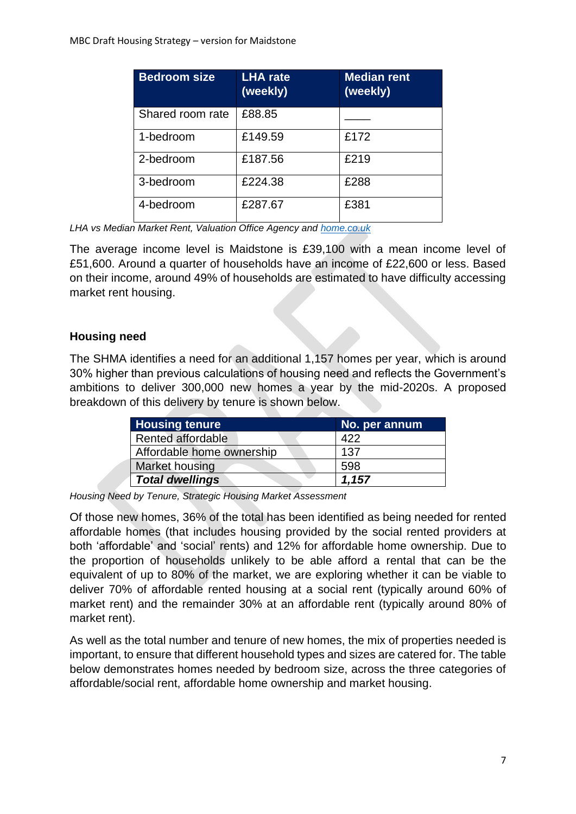| <b>Bedroom size</b> | <b>LHA</b> rate<br>(weekly) | <b>Median rent</b><br>(weekly) |
|---------------------|-----------------------------|--------------------------------|
| Shared room rate    | £88.85                      |                                |
| 1-bedroom           | £149.59                     | £172                           |
| 2-bedroom           | £187.56                     | £219                           |
| 3-bedroom           | £224.38                     | £288                           |
| 4-bedroom           | £287.67                     | £381                           |

*LHA vs Median Market Rent, Valuation Office Agency and [home.co.uk](http://home.co.uk/)*

The average income level is Maidstone is £39,100 with a mean income level of £51,600. Around a quarter of households have an income of £22,600 or less. Based on their income, around 49% of households are estimated to have difficulty accessing market rent housing.

# **Housing need**

The SHMA identifies a need for an additional 1,157 homes per year, which is around 30% higher than previous calculations of housing need and reflects the Government's ambitions to deliver 300,000 new homes a year by the mid-2020s. A proposed breakdown of this delivery by tenure is shown below.

| <b>Housing tenure</b>     | No. per annum |
|---------------------------|---------------|
| <b>Rented affordable</b>  | 422           |
| Affordable home ownership | 137           |
| Market housing            | 598           |
| <b>Total dwellings</b>    | 1.157         |

*Housing Need by Tenure, Strategic Housing Market Assessment* 

Of those new homes, 36% of the total has been identified as being needed for rented affordable homes (that includes housing provided by the social rented providers at both 'affordable' and 'social' rents) and 12% for affordable home ownership. Due to the proportion of households unlikely to be able afford a rental that can be the equivalent of up to 80% of the market, we are exploring whether it can be viable to deliver 70% of affordable rented housing at a social rent (typically around 60% of market rent) and the remainder 30% at an affordable rent (typically around 80% of market rent).

As well as the total number and tenure of new homes, the mix of properties needed is important, to ensure that different household types and sizes are catered for. The table below demonstrates homes needed by bedroom size, across the three categories of affordable/social rent, affordable home ownership and market housing.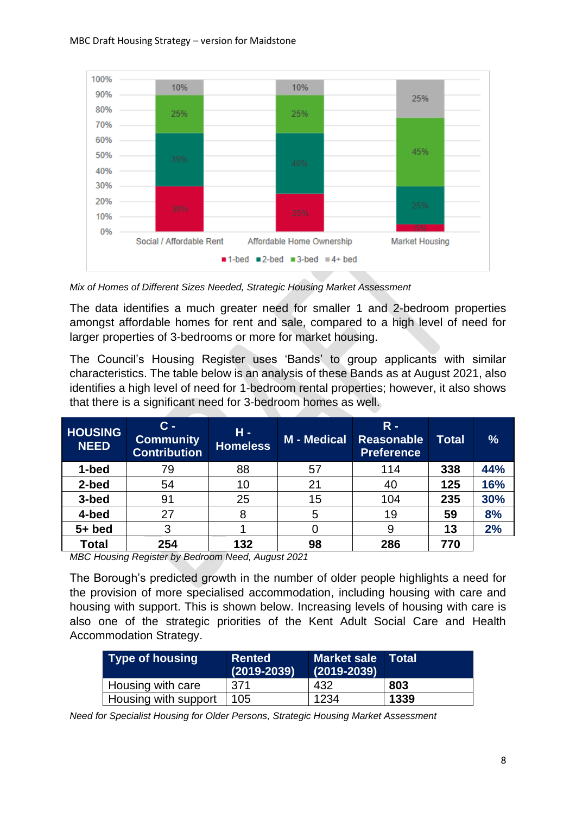

*Mix of Homes of Different Sizes Needed, Strategic Housing Market Assessment* 

The data identifies a much greater need for smaller 1 and 2-bedroom properties amongst affordable homes for rent and sale, compared to a high level of need for larger properties of 3-bedrooms or more for market housing.

The Council's Housing Register uses 'Bands' to group applicants with similar characteristics. The table below is an analysis of these Bands as at August 2021, also identifies a high level of need for 1-bedroom rental properties; however, it also shows that there is a significant need for 3-bedroom homes as well.

| <b>HOUSING</b><br><b>NEED</b> | $\mathbf{C}$ –<br><b>Community</b><br><b>Contribution</b> | $H -$<br><b>Homeless</b> | <b>M</b> - Medical | $R -$<br><b>Reasonable</b><br><b>Preference</b> | <b>Total</b> | %   |
|-------------------------------|-----------------------------------------------------------|--------------------------|--------------------|-------------------------------------------------|--------------|-----|
| 1-bed                         | 79                                                        | 88                       | 57                 | 114                                             | 338          | 44% |
| 2-bed                         | 54                                                        | 10                       | 21                 | 40                                              | 125          | 16% |
| 3-bed                         | 91                                                        | 25                       | 15                 | 104                                             | 235          | 30% |
| 4-bed                         | 27                                                        | 8                        | 5                  | 19                                              | 59           | 8%  |
| $5+$ bed                      | 3                                                         |                          |                    | 9                                               | 13           | 2%  |
| <b>Total</b>                  | 254                                                       | 132                      | 98                 | 286                                             | 770          |     |

*MBC Housing Register by Bedroom Need, August 2021*

The Borough's predicted growth in the number of older people highlights a need for the provision of more specialised accommodation, including housing with care and housing with support. This is shown below. Increasing levels of housing with care is also one of the strategic priorities of the Kent Adult Social Care and Health Accommodation Strategy.

| <b>Type of housing</b> | <b>Rented</b><br>$(2019 - 2039)$ | Market sale Total<br>$(2019 - 2039)$ |      |
|------------------------|----------------------------------|--------------------------------------|------|
| Housing with care      | 371                              | 432                                  | 803  |
| Housing with support   | 105                              | 1234                                 | 1339 |

*Need for Specialist Housing for Older Persons, Strategic Housing Market Assessment*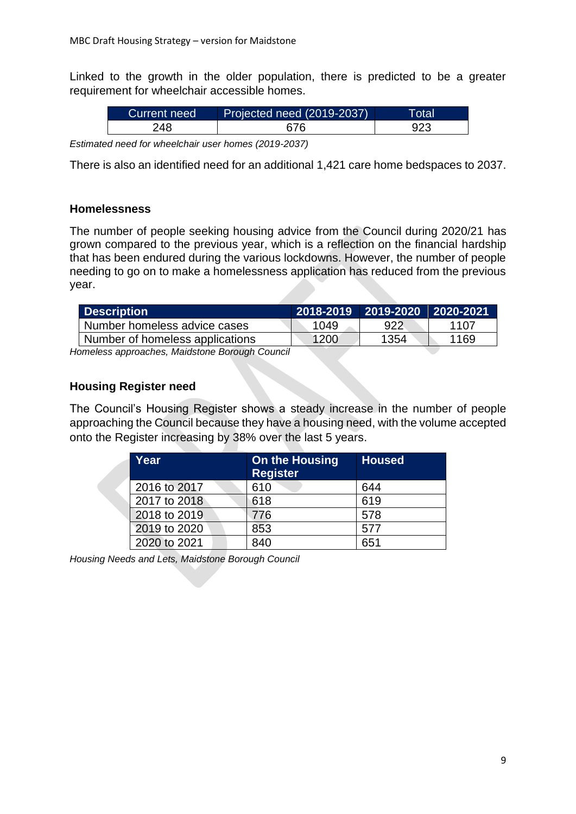Linked to the growth in the older population, there is predicted to be a greater requirement for wheelchair accessible homes.

| <b>Current need</b> | Projected need (2019-2037) | Total |
|---------------------|----------------------------|-------|
| 248                 | 676                        |       |

*Estimated need for wheelchair user homes (2019-2037)*

There is also an identified need for an additional 1,421 care home bedspaces to 2037.

#### **Homelessness**

The number of people seeking housing advice from the Council during 2020/21 has grown compared to the previous year, which is a reflection on the financial hardship that has been endured during the various lockdowns. However, the number of people needing to go on to make a homelessness application has reduced from the previous year.

| <b>Description</b>              |      |      |      |
|---------------------------------|------|------|------|
| Number homeless advice cases    | 1049 | 922  | 1107 |
| Number of homeless applications | 1200 | 1354 | 1169 |

*Homeless approaches, Maidstone Borough Council*

#### **Housing Register need**

The Council's Housing Register shows a steady increase in the number of people approaching the Council because they have a housing need, with the volume accepted onto the Register increasing by 38% over the last 5 years.

| Year         | <b>On the Housing</b><br><b>Register</b> | <b>Housed</b> |
|--------------|------------------------------------------|---------------|
| 2016 to 2017 | 610                                      | 644           |
| 2017 to 2018 | 618                                      | 619           |
| 2018 to 2019 | 776                                      | 578           |
| 2019 to 2020 | 853                                      | 577           |
| 2020 to 2021 | 840                                      | 651           |

*Housing Needs and Lets, Maidstone Borough Council*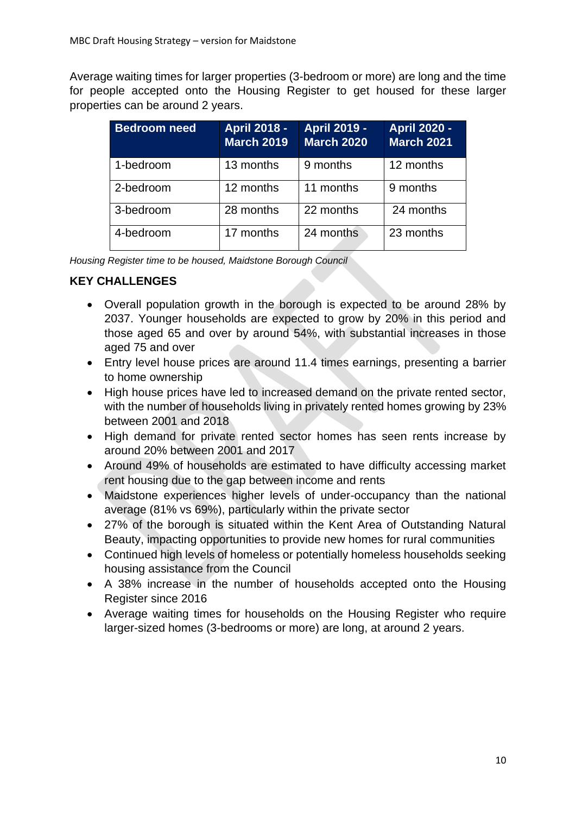Average waiting times for larger properties (3-bedroom or more) are long and the time for people accepted onto the Housing Register to get housed for these larger properties can be around 2 years.

| <b>Bedroom need</b> | <b>April 2018 -</b><br><b>March 2019</b> | <b>April 2019 -</b><br><b>March 2020</b> | <b>April 2020 -</b><br><b>March 2021</b> |
|---------------------|------------------------------------------|------------------------------------------|------------------------------------------|
| 1-bedroom           | 13 months                                | 9 months                                 | 12 months                                |
| 2-bedroom           | 12 months                                | 11 months                                | 9 months                                 |
| 3-bedroom           | 28 months                                | 22 months                                | 24 months                                |
| 4-bedroom           | 17 months                                | 24 months                                | 23 months                                |

*Housing Register time to be housed, Maidstone Borough Council*

# **KEY CHALLENGES**

- Overall population growth in the borough is expected to be around 28% by 2037. Younger households are expected to grow by 20% in this period and those aged 65 and over by around 54%, with substantial increases in those aged 75 and over
- Entry level house prices are around 11.4 times earnings, presenting a barrier to home ownership
- High house prices have led to increased demand on the private rented sector, with the number of households living in privately rented homes growing by 23% between 2001 and 2018
- High demand for private rented sector homes has seen rents increase by around 20% between 2001 and 2017
- Around 49% of households are estimated to have difficulty accessing market rent housing due to the gap between income and rents
- Maidstone experiences higher levels of under-occupancy than the national average (81% vs 69%), particularly within the private sector
- 27% of the borough is situated within the Kent Area of Outstanding Natural Beauty, impacting opportunities to provide new homes for rural communities
- Continued high levels of homeless or potentially homeless households seeking housing assistance from the Council
- A 38% increase in the number of households accepted onto the Housing Register since 2016
- Average waiting times for households on the Housing Register who require larger-sized homes (3-bedrooms or more) are long, at around 2 years.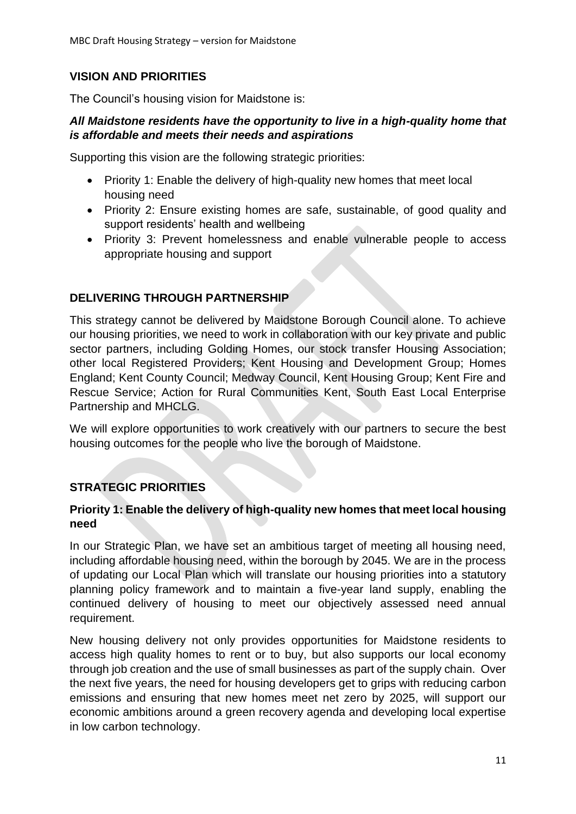# **VISION AND PRIORITIES**

The Council's housing vision for Maidstone is:

## *All Maidstone residents have the opportunity to live in a high-quality home that is affordable and meets their needs and aspirations*

Supporting this vision are the following strategic priorities:

- Priority 1: Enable the delivery of high-quality new homes that meet local housing need
- Priority 2: Ensure existing homes are safe, sustainable, of good quality and support residents' health and wellbeing
- Priority 3: Prevent homelessness and enable vulnerable people to access appropriate housing and support

# **DELIVERING THROUGH PARTNERSHIP**

This strategy cannot be delivered by Maidstone Borough Council alone. To achieve our housing priorities, we need to work in collaboration with our key private and public sector partners, including Golding Homes, our stock transfer Housing Association; other local Registered Providers; Kent Housing and Development Group; Homes England; Kent County Council; Medway Council, Kent Housing Group; Kent Fire and Rescue Service; Action for Rural Communities Kent, South East Local Enterprise Partnership and MHCLG.

We will explore opportunities to work creatively with our partners to secure the best housing outcomes for the people who live the borough of Maidstone.

# **STRATEGIC PRIORITIES**

### **Priority 1: Enable the delivery of high-quality new homes that meet local housing need**

In our Strategic Plan, we have set an ambitious target of meeting all housing need, including affordable housing need, within the borough by 2045. We are in the process of updating our Local Plan which will translate our housing priorities into a statutory planning policy framework and to maintain a five-year land supply, enabling the continued delivery of housing to meet our objectively assessed need annual requirement.

New housing delivery not only provides opportunities for Maidstone residents to access high quality homes to rent or to buy, but also supports our local economy through job creation and the use of small businesses as part of the supply chain. Over the next five years, the need for housing developers get to grips with reducing carbon emissions and ensuring that new homes meet net zero by 2025, will support our economic ambitions around a green recovery agenda and developing local expertise in low carbon technology.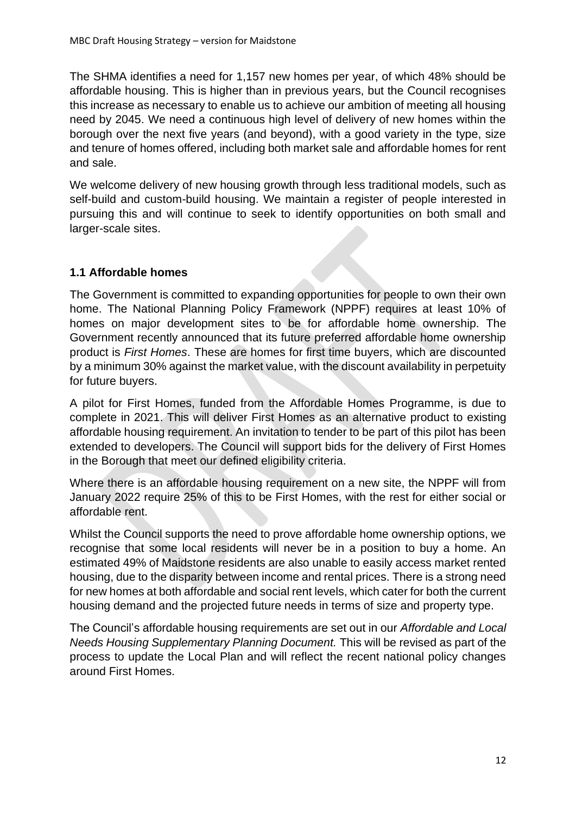The SHMA identifies a need for 1,157 new homes per year, of which 48% should be affordable housing. This is higher than in previous years, but the Council recognises this increase as necessary to enable us to achieve our ambition of meeting all housing need by 2045. We need a continuous high level of delivery of new homes within the borough over the next five years (and beyond), with a good variety in the type, size and tenure of homes offered, including both market sale and affordable homes for rent and sale.

We welcome delivery of new housing growth through less traditional models, such as self-build and custom-build housing. We maintain a register of people interested in pursuing this and will continue to seek to identify opportunities on both small and larger-scale sites.

## **1.1 Affordable homes**

The Government is committed to expanding opportunities for people to own their own home. The National Planning Policy Framework (NPPF) requires at least 10% of homes on major development sites to be for affordable home ownership. The Government recently announced that its future preferred affordable home ownership product is *First Homes*. These are homes for first time buyers, which are discounted by a minimum 30% against the market value, with the discount availability in perpetuity for future buyers.

A pilot for First Homes, funded from the Affordable Homes Programme, is due to complete in 2021. This will deliver First Homes as an alternative product to existing affordable housing requirement. An invitation to tender to be part of this pilot has been extended to developers. The Council will support bids for the delivery of First Homes in the Borough that meet our defined eligibility criteria.

Where there is an affordable housing requirement on a new site, the NPPF will from January 2022 require 25% of this to be First Homes, with the rest for either social or affordable rent.

Whilst the Council supports the need to prove affordable home ownership options, we recognise that some local residents will never be in a position to buy a home. An estimated 49% of Maidstone residents are also unable to easily access market rented housing, due to the disparity between income and rental prices. There is a strong need for new homes at both affordable and social rent levels, which cater for both the current housing demand and the projected future needs in terms of size and property type.

The Council's affordable housing requirements are set out in our *Affordable and Local Needs Housing Supplementary Planning Document.* This will be revised as part of the process to update the Local Plan and will reflect the recent national policy changes around First Homes.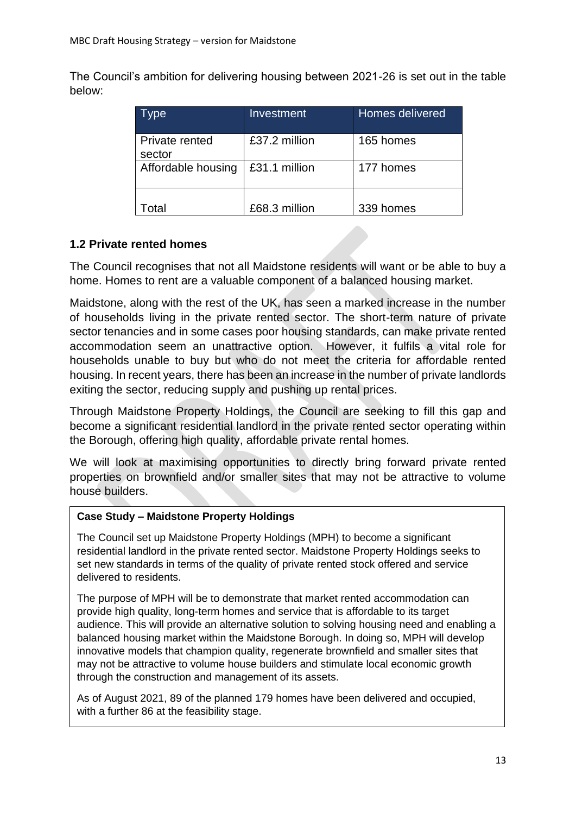The Council's ambition for delivering housing between 2021-26 is set out in the table below:

| Type                     | Investment    | Homes delivered |
|--------------------------|---------------|-----------------|
| Private rented<br>sector | £37.2 million | 165 homes       |
| Affordable housing       | £31.1 million | 177 homes       |
| ntal                     | £68.3 million | 339 homes       |

## **1.2 Private rented homes**

The Council recognises that not all Maidstone residents will want or be able to buy a home. Homes to rent are a valuable component of a balanced housing market.

Maidstone, along with the rest of the UK, has seen a marked increase in the number of households living in the private rented sector. The short-term nature of private sector tenancies and in some cases poor housing standards, can make private rented accommodation seem an unattractive option. However, it fulfils a vital role for households unable to buy but who do not meet the criteria for affordable rented housing. In recent years, there has been an increase in the number of private landlords exiting the sector, reducing supply and pushing up rental prices.

Through Maidstone Property Holdings, the Council are seeking to fill this gap and become a significant residential landlord in the private rented sector operating within the Borough, offering high quality, affordable private rental homes.

We will look at maximising opportunities to directly bring forward private rented properties on brownfield and/or smaller sites that may not be attractive to volume house builders.

#### **Case Study – Maidstone Property Holdings**

The Council set up Maidstone Property Holdings (MPH) to become a significant residential landlord in the private rented sector. Maidstone Property Holdings seeks to set new standards in terms of the quality of private rented stock offered and service delivered to residents.

The purpose of MPH will be to demonstrate that market rented accommodation can provide high quality, long-term homes and service that is affordable to its target audience. This will provide an alternative solution to solving housing need and enabling a balanced housing market within the Maidstone Borough. In doing so, MPH will develop innovative models that champion quality, regenerate brownfield and smaller sites that may not be attractive to volume house builders and stimulate local economic growth through the construction and management of its assets.

As of August 2021, 89 of the planned 179 homes have been delivered and occupied, with a further 86 at the feasibility stage.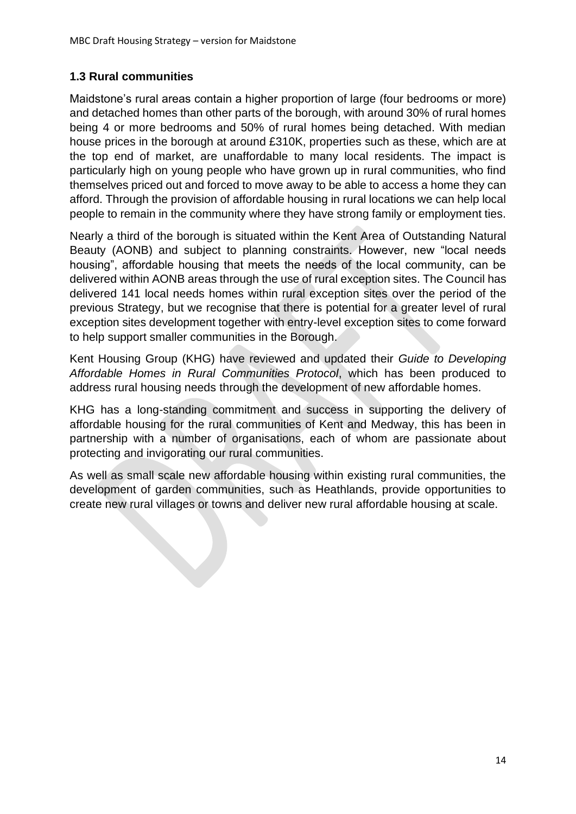## **1.3 Rural communities**

Maidstone's rural areas contain a higher proportion of large (four bedrooms or more) and detached homes than other parts of the borough, with around 30% of rural homes being 4 or more bedrooms and 50% of rural homes being detached. With median house prices in the borough at around £310K, properties such as these, which are at the top end of market, are unaffordable to many local residents. The impact is particularly high on young people who have grown up in rural communities, who find themselves priced out and forced to move away to be able to access a home they can afford. Through the provision of affordable housing in rural locations we can help local people to remain in the community where they have strong family or employment ties.

Nearly a third of the borough is situated within the Kent Area of Outstanding Natural Beauty (AONB) and subject to planning constraints. However, new "local needs housing", affordable housing that meets the needs of the local community, can be delivered within AONB areas through the use of rural exception sites. The Council has delivered 141 local needs homes within rural exception sites over the period of the previous Strategy, but we recognise that there is potential for a greater level of rural exception sites development together with entry-level exception sites to come forward to help support smaller communities in the Borough.

Kent Housing Group (KHG) have reviewed and updated their *Guide to Developing Affordable Homes in Rural Communities Protocol*, which has been produced to address rural housing needs through the development of new affordable homes.

KHG has a long-standing commitment and success in supporting the delivery of affordable housing for the rural communities of Kent and Medway, this has been in partnership with a number of organisations, each of whom are passionate about protecting and invigorating our rural communities.

As well as small scale new affordable housing within existing rural communities, the development of garden communities, such as Heathlands, provide opportunities to create new rural villages or towns and deliver new rural affordable housing at scale.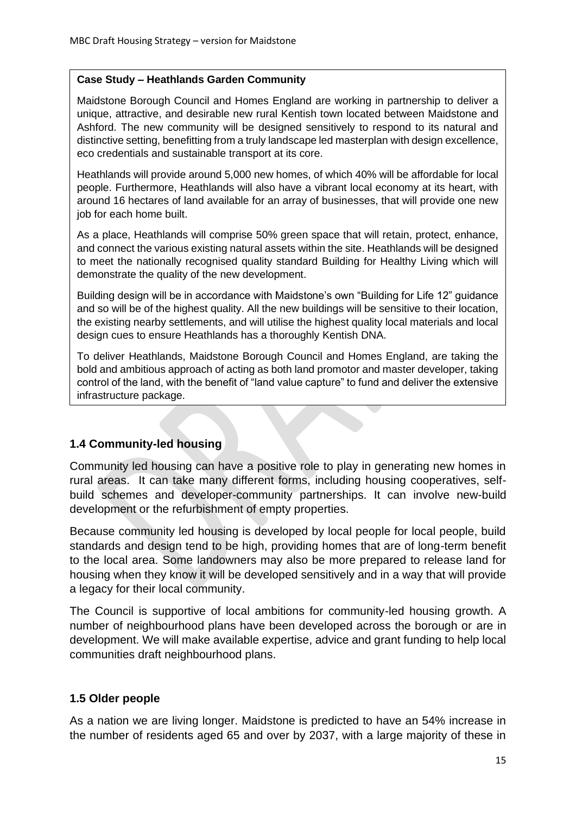#### **Case Study – Heathlands Garden Community**

Maidstone Borough Council and Homes England are working in partnership to deliver a unique, attractive, and desirable new rural Kentish town located between Maidstone and Ashford. The new community will be designed sensitively to respond to its natural and distinctive setting, benefitting from a truly landscape led masterplan with design excellence, eco credentials and sustainable transport at its core.

Heathlands will provide around 5,000 new homes, of which 40% will be affordable for local people. Furthermore, Heathlands will also have a vibrant local economy at its heart, with around 16 hectares of land available for an array of businesses, that will provide one new job for each home built.

As a place, Heathlands will comprise 50% green space that will retain, protect, enhance, and connect the various existing natural assets within the site. Heathlands will be designed to meet the nationally recognised quality standard Building for Healthy Living which will demonstrate the quality of the new development.

Building design will be in accordance with Maidstone's own "Building for Life 12" guidance and so will be of the highest quality. All the new buildings will be sensitive to their location, the existing nearby settlements, and will utilise the highest quality local materials and local design cues to ensure Heathlands has a thoroughly Kentish DNA.

To deliver Heathlands, Maidstone Borough Council and Homes England, are taking the bold and ambitious approach of acting as both land promotor and master developer, taking control of the land, with the benefit of "land value capture" to fund and deliver the extensive infrastructure package.

## **1.4 Community-led housing**

Community led housing can have a positive role to play in generating new homes in rural areas. It can take many different forms, including housing cooperatives, selfbuild schemes and developer-community partnerships. It can involve new-build development or the refurbishment of empty properties.

Because community led housing is developed by local people for local people, build standards and design tend to be high, providing homes that are of long-term benefit to the local area. Some landowners may also be more prepared to release land for housing when they know it will be developed sensitively and in a way that will provide a legacy for their local community.

The Council is supportive of local ambitions for community-led housing growth. A number of neighbourhood plans have been developed across the borough or are in development. We will make available expertise, advice and grant funding to help local communities draft neighbourhood plans.

## **1.5 Older people**

As a nation we are living longer. Maidstone is predicted to have an 54% increase in the number of residents aged 65 and over by 2037, with a large majority of these in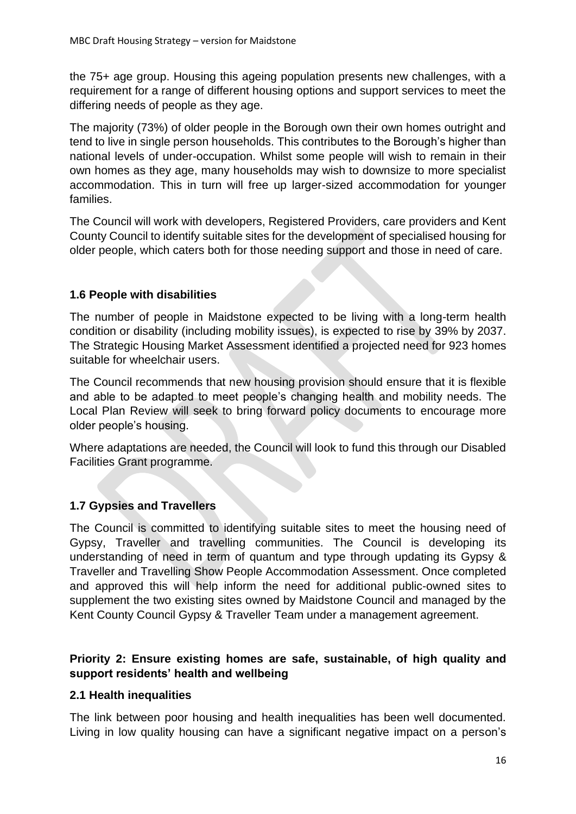the 75+ age group. Housing this ageing population presents new challenges, with a requirement for a range of different housing options and support services to meet the differing needs of people as they age.

The majority (73%) of older people in the Borough own their own homes outright and tend to live in single person households. This contributes to the Borough's higher than national levels of under-occupation. Whilst some people will wish to remain in their own homes as they age, many households may wish to downsize to more specialist accommodation. This in turn will free up larger-sized accommodation for younger families.

The Council will work with developers, Registered Providers, care providers and Kent County Council to identify suitable sites for the development of specialised housing for older people, which caters both for those needing support and those in need of care.

# **1.6 People with disabilities**

The number of people in Maidstone expected to be living with a long-term health condition or disability (including mobility issues), is expected to rise by 39% by 2037. The Strategic Housing Market Assessment identified a projected need for 923 homes suitable for wheelchair users.

The Council recommends that new housing provision should ensure that it is flexible and able to be adapted to meet people's changing health and mobility needs. The Local Plan Review will seek to bring forward policy documents to encourage more older people's housing.

Where adaptations are needed, the Council will look to fund this through our Disabled Facilities Grant programme.

# **1.7 Gypsies and Travellers**

The Council is committed to identifying suitable sites to meet the housing need of Gypsy, Traveller and travelling communities. The Council is developing its understanding of need in term of quantum and type through updating its Gypsy & Traveller and Travelling Show People Accommodation Assessment. Once completed and approved this will help inform the need for additional public-owned sites to supplement the two existing sites owned by Maidstone Council and managed by the Kent County Council Gypsy & Traveller Team under a management agreement.

## **Priority 2: Ensure existing homes are safe, sustainable, of high quality and support residents' health and wellbeing**

## **2.1 Health inequalities**

The link between poor housing and health inequalities has been well documented. Living in low quality housing can have a significant negative impact on a person's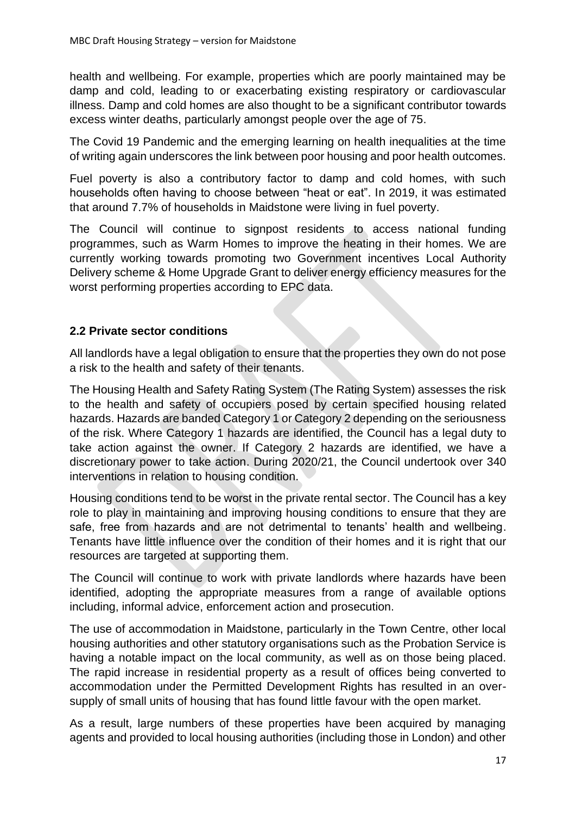health and wellbeing. For example, properties which are poorly maintained may be damp and cold, leading to or exacerbating existing respiratory or cardiovascular illness. Damp and cold homes are also thought to be a significant contributor towards excess winter deaths, particularly amongst people over the age of 75.

The Covid 19 Pandemic and the emerging learning on health inequalities at the time of writing again underscores the link between poor housing and poor health outcomes.

Fuel poverty is also a contributory factor to damp and cold homes, with such households often having to choose between "heat or eat". In 2019, it was estimated that around 7.7% of households in Maidstone were living in fuel poverty.

The Council will continue to signpost residents to access national funding programmes, such as Warm Homes to improve the heating in their homes. We are currently working towards promoting two Government incentives Local Authority Delivery scheme & Home Upgrade Grant to deliver energy efficiency measures for the worst performing properties according to EPC data.

# **2.2 Private sector conditions**

All landlords have a legal obligation to ensure that the properties they own do not pose a risk to the health and safety of their tenants.

The Housing Health and Safety Rating System (The Rating System) assesses the risk to the health and safety of occupiers posed by certain specified housing related hazards. Hazards are banded Category 1 or Category 2 depending on the seriousness of the risk. Where Category 1 hazards are identified, the Council has a legal duty to take action against the owner. If Category 2 hazards are identified, we have a discretionary power to take action. During 2020/21, the Council undertook over 340 interventions in relation to housing condition.

Housing conditions tend to be worst in the private rental sector. The Council has a key role to play in maintaining and improving housing conditions to ensure that they are safe, free from hazards and are not detrimental to tenants' health and wellbeing. Tenants have little influence over the condition of their homes and it is right that our resources are targeted at supporting them.

The Council will continue to work with private landlords where hazards have been identified, adopting the appropriate measures from a range of available options including, informal advice, enforcement action and prosecution.

The use of accommodation in Maidstone, particularly in the Town Centre, other local housing authorities and other statutory organisations such as the Probation Service is having a notable impact on the local community, as well as on those being placed. The rapid increase in residential property as a result of offices being converted to accommodation under the Permitted Development Rights has resulted in an oversupply of small units of housing that has found little favour with the open market.

As a result, large numbers of these properties have been acquired by managing agents and provided to local housing authorities (including those in London) and other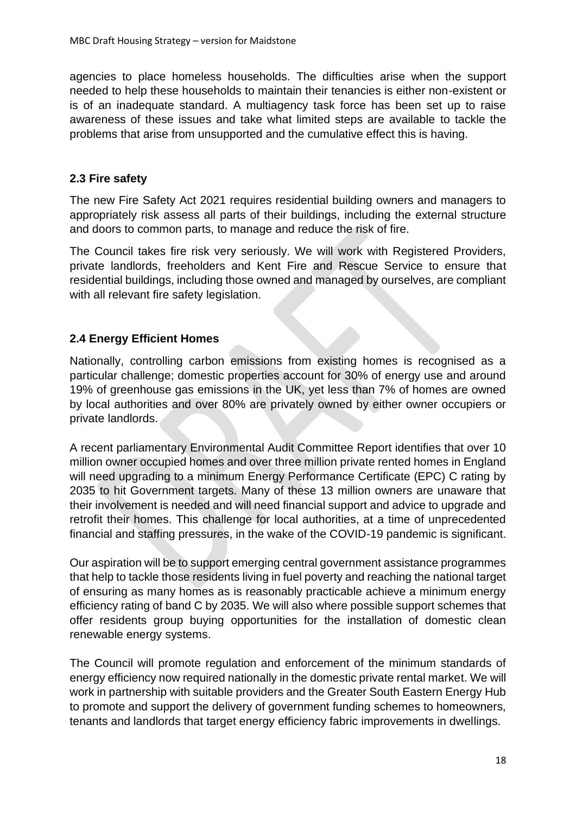agencies to place homeless households. The difficulties arise when the support needed to help these households to maintain their tenancies is either non-existent or is of an inadequate standard. A multiagency task force has been set up to raise awareness of these issues and take what limited steps are available to tackle the problems that arise from unsupported and the cumulative effect this is having.

### **2.3 Fire safety**

The new Fire Safety Act 2021 requires residential building owners and managers to appropriately risk assess all parts of their buildings, including the external structure and doors to common parts, to manage and reduce the risk of fire.

The Council takes fire risk very seriously. We will work with Registered Providers, private landlords, freeholders and Kent Fire and Rescue Service to ensure that residential buildings, including those owned and managed by ourselves, are compliant with all relevant fire safety legislation.

## **2.4 Energy Efficient Homes**

Nationally, controlling carbon emissions from existing homes is recognised as a particular challenge; domestic properties account for 30% of energy use and around 19% of greenhouse gas emissions in the UK, yet less than 7% of homes are owned by local authorities and over 80% are privately owned by either owner occupiers or private landlords.

A recent parliamentary Environmental Audit Committee Report identifies that over 10 million owner occupied homes and over three million private rented homes in England will need upgrading to a minimum Energy Performance Certificate (EPC) C rating by 2035 to hit Government targets. Many of these 13 million owners are unaware that their involvement is needed and will need financial support and advice to upgrade and retrofit their homes. This challenge for local authorities, at a time of unprecedented financial and staffing pressures, in the wake of the COVID-19 pandemic is significant.

Our aspiration will be to support emerging central government assistance programmes that help to tackle those residents living in fuel poverty and reaching the national target of ensuring as many homes as is reasonably practicable achieve a minimum energy efficiency rating of band C by 2035. We will also where possible support schemes that offer residents group buying opportunities for the installation of domestic clean renewable energy systems.

The Council will promote regulation and enforcement of the minimum standards of energy efficiency now required nationally in the domestic private rental market. We will work in partnership with suitable providers and the Greater South Eastern Energy Hub to promote and support the delivery of government funding schemes to homeowners, tenants and landlords that target energy efficiency fabric improvements in dwellings.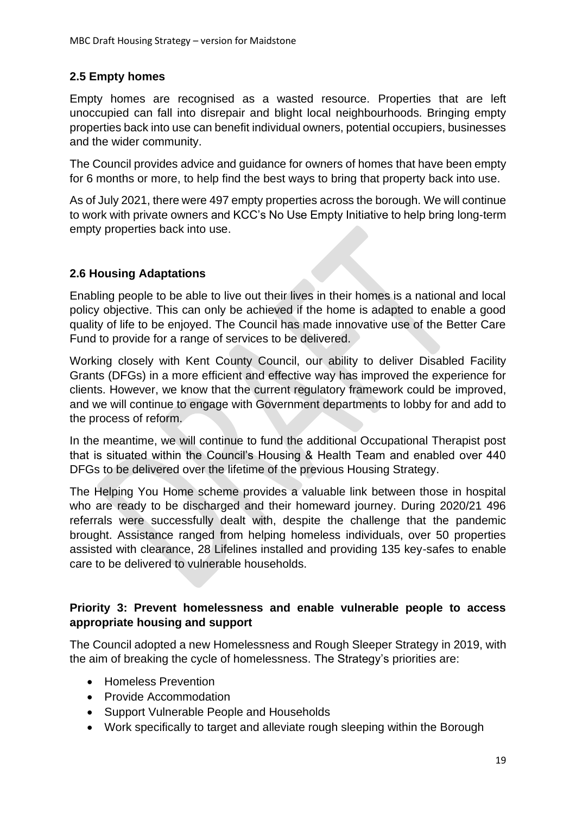# **2.5 Empty homes**

Empty homes are recognised as a wasted resource. Properties that are left unoccupied can fall into disrepair and blight local neighbourhoods. Bringing empty properties back into use can benefit individual owners, potential occupiers, businesses and the wider community.

The Council provides advice and guidance for owners of homes that have been empty for 6 months or more, to help find the best ways to bring that property back into use.

As of July 2021, there were 497 empty properties across the borough. We will continue to work with private owners and KCC's No Use Empty Initiative to help bring long-term empty properties back into use.

# **2.6 Housing Adaptations**

Enabling people to be able to live out their lives in their homes is a national and local policy objective. This can only be achieved if the home is adapted to enable a good quality of life to be enjoyed. The Council has made innovative use of the Better Care Fund to provide for a range of services to be delivered.

Working closely with Kent County Council, our ability to deliver Disabled Facility Grants (DFGs) in a more efficient and effective way has improved the experience for clients. However, we know that the current regulatory framework could be improved, and we will continue to engage with Government departments to lobby for and add to the process of reform.

In the meantime, we will continue to fund the additional Occupational Therapist post that is situated within the Council's Housing & Health Team and enabled over 440 DFGs to be delivered over the lifetime of the previous Housing Strategy.

The Helping You Home scheme provides a valuable link between those in hospital who are ready to be discharged and their homeward journey. During 2020/21 496 referrals were successfully dealt with, despite the challenge that the pandemic brought. Assistance ranged from helping homeless individuals, over 50 properties assisted with clearance, 28 Lifelines installed and providing 135 key-safes to enable care to be delivered to vulnerable households.

## **Priority 3: Prevent homelessness and enable vulnerable people to access appropriate housing and support**

The Council adopted a new Homelessness and Rough Sleeper Strategy in 2019, with the aim of breaking the cycle of homelessness. The Strategy's priorities are:

- Homeless Prevention
- Provide Accommodation
- Support Vulnerable People and Households
- Work specifically to target and alleviate rough sleeping within the Borough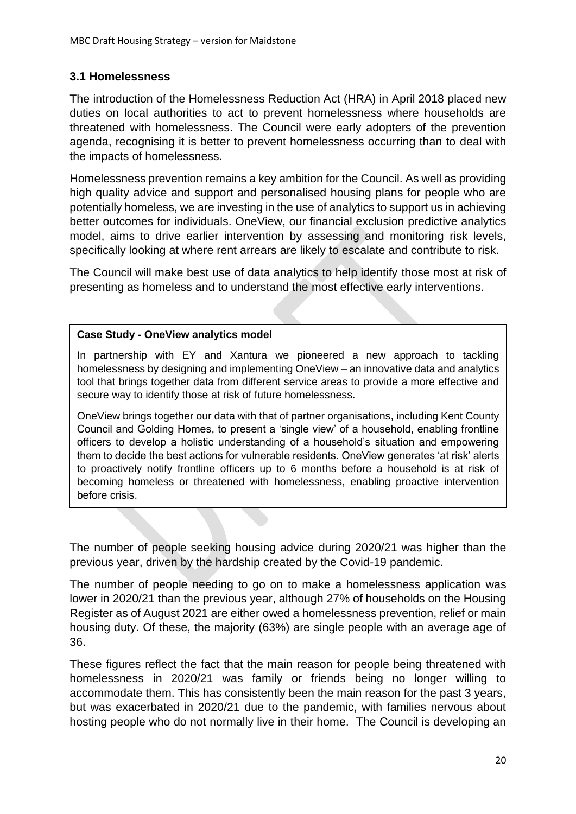## **3.1 Homelessness**

The introduction of the Homelessness Reduction Act (HRA) in April 2018 placed new duties on local authorities to act to prevent homelessness where households are threatened with homelessness. The Council were early adopters of the prevention agenda, recognising it is better to prevent homelessness occurring than to deal with the impacts of homelessness.

Homelessness prevention remains a key ambition for the Council. As well as providing high quality advice and support and personalised housing plans for people who are potentially homeless, we are investing in the use of analytics to support us in achieving better outcomes for individuals. OneView, our financial exclusion predictive analytics model, aims to drive earlier intervention by assessing and monitoring risk levels, specifically looking at where rent arrears are likely to escalate and contribute to risk.

The Council will make best use of data analytics to help identify those most at risk of presenting as homeless and to understand the most effective early interventions.

#### **Case Study - OneView analytics model**

In partnership with EY and Xantura we pioneered a new approach to tackling homelessness by designing and implementing OneView – an innovative data and analytics tool that brings together data from different service areas to provide a more effective and secure way to identify those at risk of future homelessness.

OneView brings together our data with that of partner organisations, including Kent County Council and Golding Homes, to present a 'single view' of a household, enabling frontline officers to develop a holistic understanding of a household's situation and empowering them to decide the best actions for vulnerable residents. OneView generates 'at risk' alerts to proactively notify frontline officers up to 6 months before a household is at risk of becoming homeless or threatened with homelessness, enabling proactive intervention before crisis.

The number of people seeking housing advice during 2020/21 was higher than the previous year, driven by the hardship created by the Covid-19 pandemic.

The number of people needing to go on to make a homelessness application was lower in 2020/21 than the previous year, although 27% of households on the Housing Register as of August 2021 are either owed a homelessness prevention, relief or main housing duty. Of these, the majority (63%) are single people with an average age of 36.

These figures reflect the fact that the main reason for people being threatened with homelessness in 2020/21 was family or friends being no longer willing to accommodate them. This has consistently been the main reason for the past 3 years, but was exacerbated in 2020/21 due to the pandemic, with families nervous about hosting people who do not normally live in their home. The Council is developing an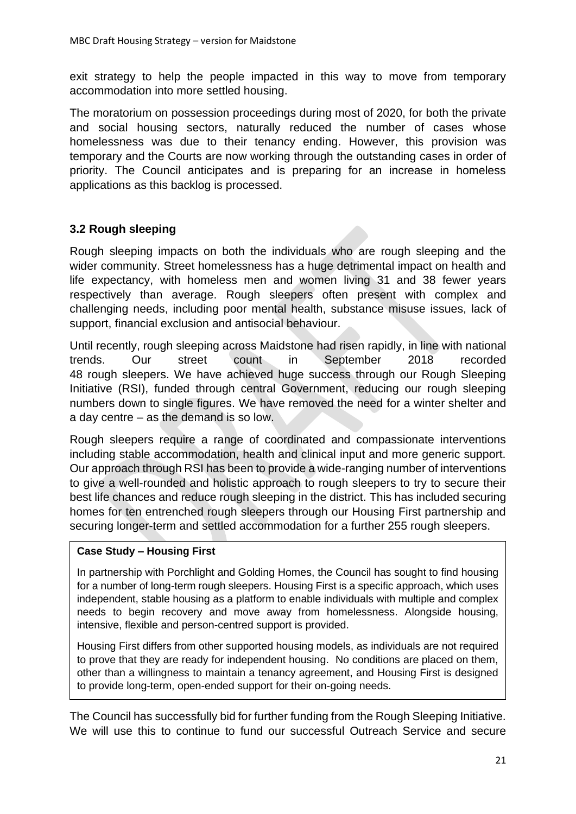exit strategy to help the people impacted in this way to move from temporary accommodation into more settled housing.

The moratorium on possession proceedings during most of 2020, for both the private and social housing sectors, naturally reduced the number of cases whose homelessness was due to their tenancy ending. However, this provision was temporary and the Courts are now working through the outstanding cases in order of priority. The Council anticipates and is preparing for an increase in homeless applications as this backlog is processed.

## **3.2 Rough sleeping**

Rough sleeping impacts on both the individuals who are rough sleeping and the wider community. Street homelessness has a huge detrimental impact on health and life expectancy, with homeless men and women living 31 and 38 fewer years respectively than average. Rough sleepers often present with complex and challenging needs, including poor mental health, substance misuse issues, lack of support, financial exclusion and antisocial behaviour.

Until recently, rough sleeping across Maidstone had risen rapidly, in line with national trends. Our street count in September 2018 recorded 48 rough sleepers. We have achieved huge success through our Rough Sleeping Initiative (RSI), funded through central Government, reducing our rough sleeping numbers down to single figures. We have removed the need for a winter shelter and a day centre – as the demand is so low.

Rough sleepers require a range of coordinated and compassionate interventions including stable accommodation, health and clinical input and more generic support. Our approach through RSI has been to provide a wide-ranging number of interventions to give a well-rounded and holistic approach to rough sleepers to try to secure their best life chances and reduce rough sleeping in the district. This has included securing homes for ten entrenched rough sleepers through our Housing First partnership and securing longer-term and settled accommodation for a further 255 rough sleepers.

#### **Case Study – Housing First**

In partnership with Porchlight and Golding Homes, the Council has sought to find housing for a number of long-term rough sleepers. Housing First is a specific approach, which uses independent, stable housing as a platform to enable individuals with multiple and complex needs to begin recovery and move away from homelessness. Alongside housing, intensive, flexible and person-centred support is provided.

Housing First differs from other supported housing models, as individuals are not required to prove that they are ready for independent housing. No conditions are placed on them, other than a willingness to maintain a tenancy agreement, and Housing First is designed to provide long-term, open-ended support for their on-going needs.

The Council has successfully bid for further funding from the Rough Sleeping Initiative. We will use this to continue to fund our successful Outreach Service and secure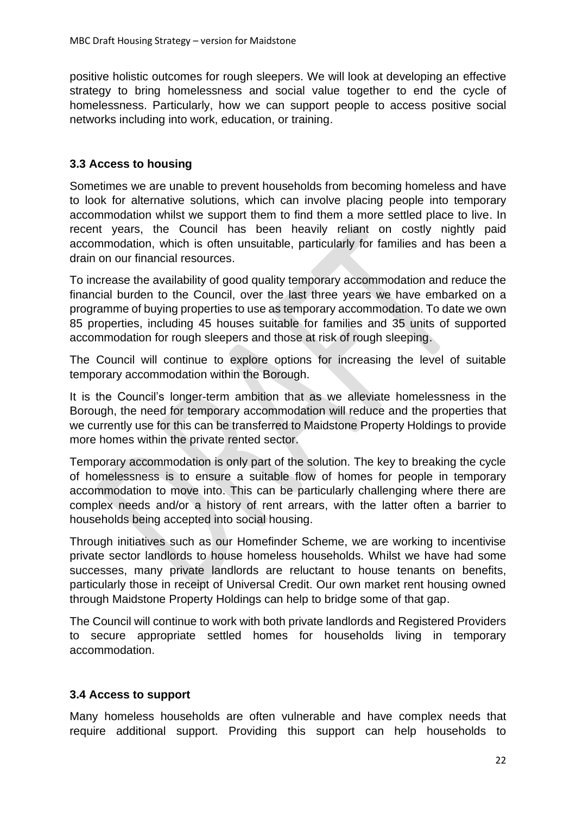positive holistic outcomes for rough sleepers. We will look at developing an effective strategy to bring homelessness and social value together to end the cycle of homelessness. Particularly, how we can support people to access positive social networks including into work, education, or training.

### **3.3 Access to housing**

Sometimes we are unable to prevent households from becoming homeless and have to look for alternative solutions, which can involve placing people into temporary accommodation whilst we support them to find them a more settled place to live. In recent years, the Council has been heavily reliant on costly nightly paid accommodation, which is often unsuitable, particularly for families and has been a drain on our financial resources.

To increase the availability of good quality temporary accommodation and reduce the financial burden to the Council, over the last three years we have embarked on a programme of buying properties to use as temporary accommodation. To date we own 85 properties, including 45 houses suitable for families and 35 units of supported accommodation for rough sleepers and those at risk of rough sleeping.

The Council will continue to explore options for increasing the level of suitable temporary accommodation within the Borough.

It is the Council's longer-term ambition that as we alleviate homelessness in the Borough, the need for temporary accommodation will reduce and the properties that we currently use for this can be transferred to Maidstone Property Holdings to provide more homes within the private rented sector.

Temporary accommodation is only part of the solution. The key to breaking the cycle of homelessness is to ensure a suitable flow of homes for people in temporary accommodation to move into. This can be particularly challenging where there are complex needs and/or a history of rent arrears, with the latter often a barrier to households being accepted into social housing.

Through initiatives such as our Homefinder Scheme, we are working to incentivise private sector landlords to house homeless households. Whilst we have had some successes, many private landlords are reluctant to house tenants on benefits, particularly those in receipt of Universal Credit. Our own market rent housing owned through Maidstone Property Holdings can help to bridge some of that gap.

The Council will continue to work with both private landlords and Registered Providers to secure appropriate settled homes for households living in temporary accommodation.

#### **3.4 Access to support**

Many homeless households are often vulnerable and have complex needs that require additional support. Providing this support can help households to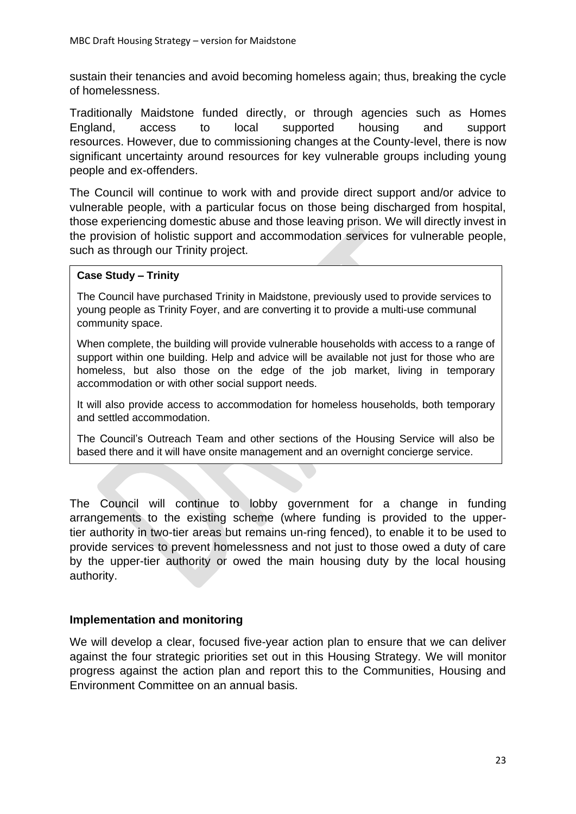sustain their tenancies and avoid becoming homeless again; thus, breaking the cycle of homelessness.

Traditionally Maidstone funded directly, or through agencies such as Homes England, access to local supported housing and support resources. However, due to commissioning changes at the County-level, there is now significant uncertainty around resources for key vulnerable groups including young people and ex-offenders.

The Council will continue to work with and provide direct support and/or advice to vulnerable people, with a particular focus on those being discharged from hospital, those experiencing domestic abuse and those leaving prison. We will directly invest in the provision of holistic support and accommodation services for vulnerable people, such as through our Trinity project.

#### **Case Study – Trinity**

The Council have purchased Trinity in Maidstone, previously used to provide services to young people as Trinity Foyer, and are converting it to provide a multi-use communal community space.

When complete, the building will provide vulnerable households with access to a range of support within one building. Help and advice will be available not just for those who are homeless, but also those on the edge of the job market, living in temporary accommodation or with other social support needs.

It will also provide access to accommodation for homeless households, both temporary and settled accommodation.

The Council's Outreach Team and other sections of the Housing Service will also be based there and it will have onsite management and an overnight concierge service.

The Council will continue to lobby government for a change in funding arrangements to the existing scheme (where funding is provided to the uppertier authority in two-tier areas but remains un-ring fenced), to enable it to be used to provide services to prevent homelessness and not just to those owed a duty of care by the upper-tier authority or owed the main housing duty by the local housing authority.

#### **Implementation and monitoring**

We will develop a clear, focused five-year action plan to ensure that we can deliver against the four strategic priorities set out in this Housing Strategy. We will monitor progress against the action plan and report this to the Communities, Housing and Environment Committee on an annual basis.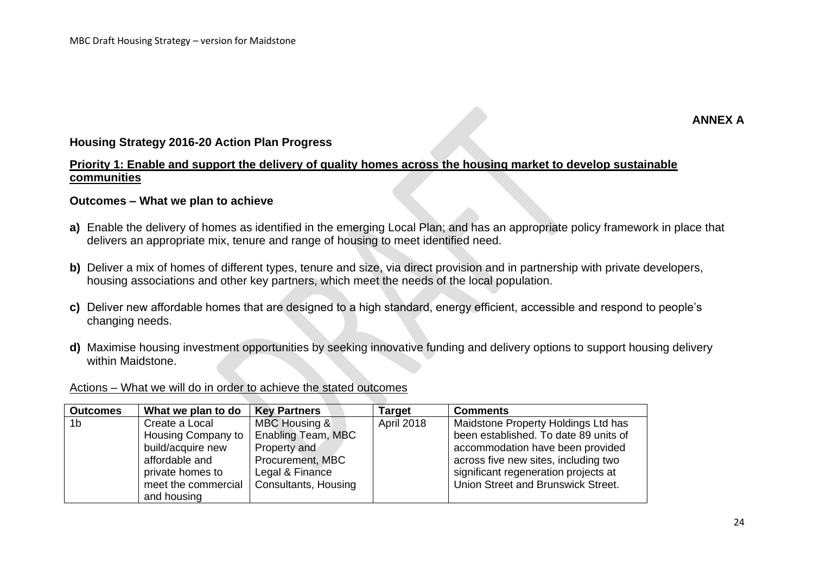#### **Housing Strategy 2016-20 Action Plan Progress**

### **Priority 1: Enable and support the delivery of quality homes across the housing market to develop sustainable communities**

#### **Outcomes – What we plan to achieve**

- **a)** Enable the delivery of homes as identified in the emerging Local Plan; and has an appropriate policy framework in place that delivers an appropriate mix, tenure and range of housing to meet identified need.
- **b)** Deliver a mix of homes of different types, tenure and size, via direct provision and in partnership with private developers, housing associations and other key partners, which meet the needs of the local population.
- **c)** Deliver new affordable homes that are designed to a high standard, energy efficient, accessible and respond to people's changing needs.
- **d)** Maximise housing investment opportunities by seeking innovative funding and delivery options to support housing delivery within Maidstone.

| <b>Outcomes</b> | What we plan to do                                                                                                                      | <b>Key Partners</b>                                                                                                | Target     | <b>Comments</b>                                                                                                                                                                                                                        |
|-----------------|-----------------------------------------------------------------------------------------------------------------------------------------|--------------------------------------------------------------------------------------------------------------------|------------|----------------------------------------------------------------------------------------------------------------------------------------------------------------------------------------------------------------------------------------|
| 1 <sub>b</sub>  | Create a Local<br>Housing Company to  <br>build/acquire new<br>affordable and<br>private homes to<br>meet the commercial<br>and housing | MBC Housing &<br>Enabling Team, MBC<br>Property and<br>Procurement, MBC<br>Legal & Finance<br>Consultants, Housing | April 2018 | Maidstone Property Holdings Ltd has<br>been established. To date 89 units of<br>accommodation have been provided<br>across five new sites, including two<br>significant regeneration projects at<br>Union Street and Brunswick Street. |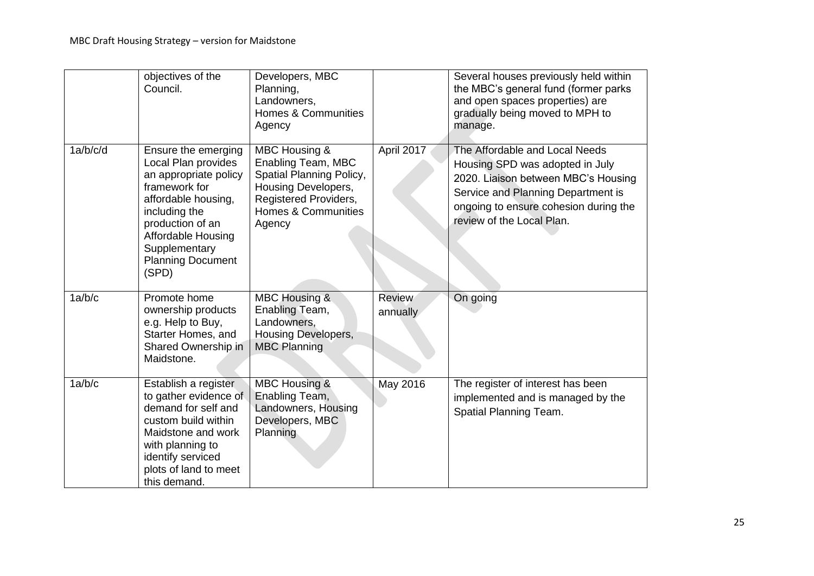|          | objectives of the<br>Council.                                                                                                                                                                                                | Developers, MBC<br>Planning,<br>Landowners,<br><b>Homes &amp; Communities</b><br>Agency                                                                                |                           | Several houses previously held within<br>the MBC's general fund (former parks<br>and open spaces properties) are<br>gradually being moved to MPH to<br>manage.                                                       |
|----------|------------------------------------------------------------------------------------------------------------------------------------------------------------------------------------------------------------------------------|------------------------------------------------------------------------------------------------------------------------------------------------------------------------|---------------------------|----------------------------------------------------------------------------------------------------------------------------------------------------------------------------------------------------------------------|
| 1a/b/c/d | Ensure the emerging<br>Local Plan provides<br>an appropriate policy<br>framework for<br>affordable housing,<br>including the<br>production of an<br>Affordable Housing<br>Supplementary<br><b>Planning Document</b><br>(SPD) | <b>MBC Housing &amp;</b><br>Enabling Team, MBC<br>Spatial Planning Policy,<br>Housing Developers,<br>Registered Providers,<br><b>Homes &amp; Communities</b><br>Agency | April 2017                | The Affordable and Local Needs<br>Housing SPD was adopted in July<br>2020. Liaison between MBC's Housing<br>Service and Planning Department is<br>ongoing to ensure cohesion during the<br>review of the Local Plan. |
| 1a/b/c   | Promote home<br>ownership products<br>e.g. Help to Buy,<br>Starter Homes, and<br>Shared Ownership in<br>Maidstone.                                                                                                           | <b>MBC Housing &amp;</b><br>Enabling Team,<br>Landowners,<br>Housing Developers,<br><b>MBC Planning</b>                                                                | <b>Review</b><br>annually | On going                                                                                                                                                                                                             |
| 1a/b/c   | Establish a register<br>to gather evidence of<br>demand for self and<br>custom build within<br>Maidstone and work<br>with planning to<br>identify serviced<br>plots of land to meet<br>this demand.                          | <b>MBC Housing &amp;</b><br>Enabling Team,<br>Landowners, Housing<br>Developers, MBC<br>Planning                                                                       | May 2016                  | The register of interest has been<br>implemented and is managed by the<br>Spatial Planning Team.                                                                                                                     |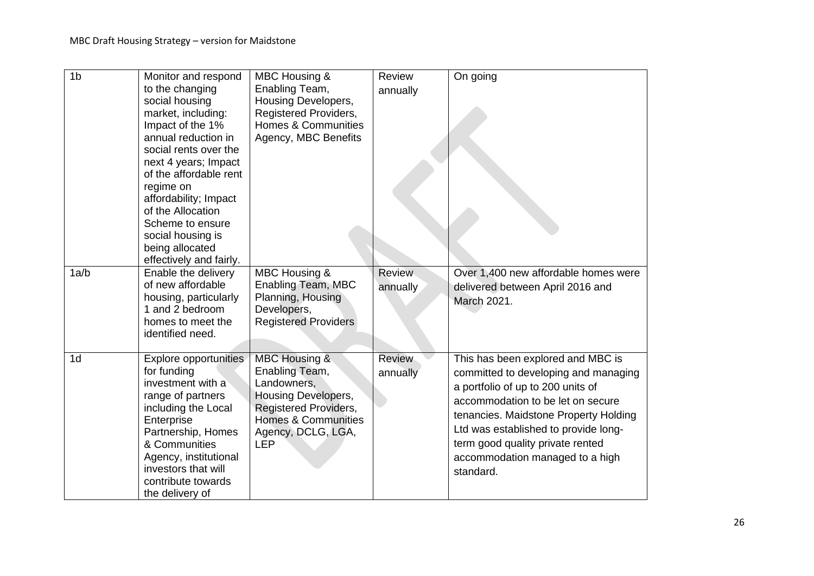| 1 <sub>b</sub> | Monitor and respond<br>to the changing<br>social housing<br>market, including:<br>Impact of the 1%<br>annual reduction in<br>social rents over the                                                                                                  | MBC Housing &<br>Enabling Team,<br>Housing Developers,<br>Registered Providers,<br><b>Homes &amp; Communities</b><br>Agency, MBC Benefits                            | Review<br>annually        | On going                                                                                                                                                                                                                                                                                                                 |
|----------------|-----------------------------------------------------------------------------------------------------------------------------------------------------------------------------------------------------------------------------------------------------|----------------------------------------------------------------------------------------------------------------------------------------------------------------------|---------------------------|--------------------------------------------------------------------------------------------------------------------------------------------------------------------------------------------------------------------------------------------------------------------------------------------------------------------------|
|                | next 4 years; Impact<br>of the affordable rent<br>regime on<br>affordability; Impact<br>of the Allocation<br>Scheme to ensure<br>social housing is<br>being allocated<br>effectively and fairly.                                                    |                                                                                                                                                                      |                           |                                                                                                                                                                                                                                                                                                                          |
| 1a/b           | Enable the delivery<br>of new affordable<br>housing, particularly<br>1 and 2 bedroom<br>homes to meet the<br>identified need.                                                                                                                       | MBC Housing &<br>Enabling Team, MBC<br>Planning, Housing<br>Developers,<br><b>Registered Providers</b>                                                               | <b>Review</b><br>annually | Over 1,400 new affordable homes were<br>delivered between April 2016 and<br>March 2021.                                                                                                                                                                                                                                  |
| 1 <sub>d</sub> | Explore opportunities<br>for funding<br>investment with a<br>range of partners<br>including the Local<br>Enterprise<br>Partnership, Homes<br>& Communities<br>Agency, institutional<br>investors that will<br>contribute towards<br>the delivery of | MBC Housing &<br>Enabling Team,<br>Landowners,<br>Housing Developers,<br>Registered Providers,<br><b>Homes &amp; Communities</b><br>Agency, DCLG, LGA,<br><b>LEP</b> | Review<br>annually        | This has been explored and MBC is<br>committed to developing and managing<br>a portfolio of up to 200 units of<br>accommodation to be let on secure<br>tenancies. Maidstone Property Holding<br>Ltd was established to provide long-<br>term good quality private rented<br>accommodation managed to a high<br>standard. |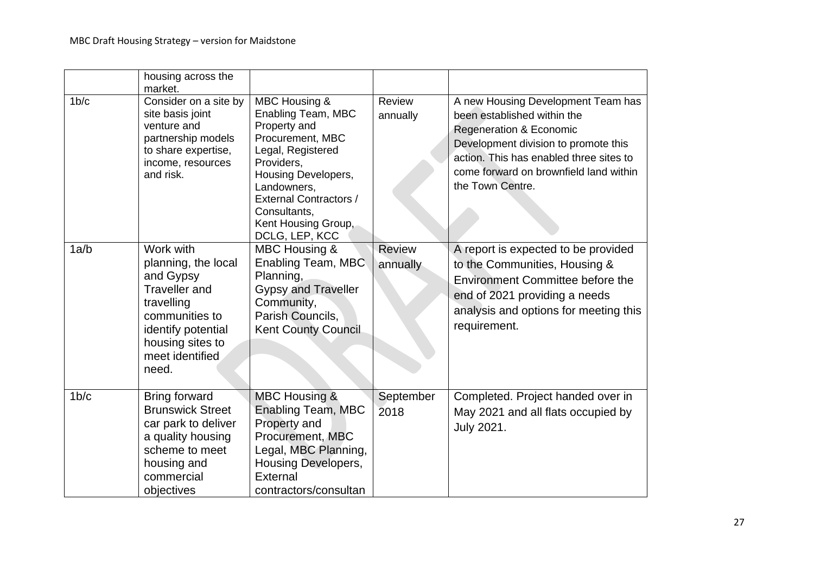|                   | housing across the<br>market.                                                                                                                                               |                                                                                                                                                                                                                                            |                           |                                                                                                                                                                                                                                                          |
|-------------------|-----------------------------------------------------------------------------------------------------------------------------------------------------------------------------|--------------------------------------------------------------------------------------------------------------------------------------------------------------------------------------------------------------------------------------------|---------------------------|----------------------------------------------------------------------------------------------------------------------------------------------------------------------------------------------------------------------------------------------------------|
| 1 <sub>b</sub> /c | Consider on a site by<br>site basis joint<br>venture and<br>partnership models<br>to share expertise,<br>income, resources<br>and risk.                                     | MBC Housing &<br>Enabling Team, MBC<br>Property and<br>Procurement, MBC<br>Legal, Registered<br>Providers,<br>Housing Developers,<br>Landowners,<br><b>External Contractors /</b><br>Consultants,<br>Kent Housing Group,<br>DCLG, LEP, KCC | Review<br>annually        | A new Housing Development Team has<br>been established within the<br><b>Regeneration &amp; Economic</b><br>Development division to promote this<br>action. This has enabled three sites to<br>come forward on brownfield land within<br>the Town Centre. |
| 1a/b              | Work with<br>planning, the local<br>and Gypsy<br><b>Traveller</b> and<br>travelling<br>communities to<br>identify potential<br>housing sites to<br>meet identified<br>need. | MBC Housing &<br>Enabling Team, MBC<br>Planning,<br><b>Gypsy and Traveller</b><br>Community,<br>Parish Councils.<br><b>Kent County Council</b>                                                                                             | <b>Review</b><br>annually | A report is expected to be provided<br>to the Communities, Housing &<br>Environment Committee before the<br>end of 2021 providing a needs<br>analysis and options for meeting this<br>requirement.                                                       |
| $1b$ / $c$        | <b>Bring forward</b><br><b>Brunswick Street</b><br>car park to deliver<br>a quality housing<br>scheme to meet<br>housing and<br>commercial<br>objectives                    | <b>MBC Housing &amp;</b><br><b>Enabling Team, MBC</b><br>Property and<br>Procurement, MBC<br>Legal, MBC Planning,<br>Housing Developers,<br>External<br>contractors/consultan                                                              | September<br>2018         | Completed. Project handed over in<br>May 2021 and all flats occupied by<br>July 2021.                                                                                                                                                                    |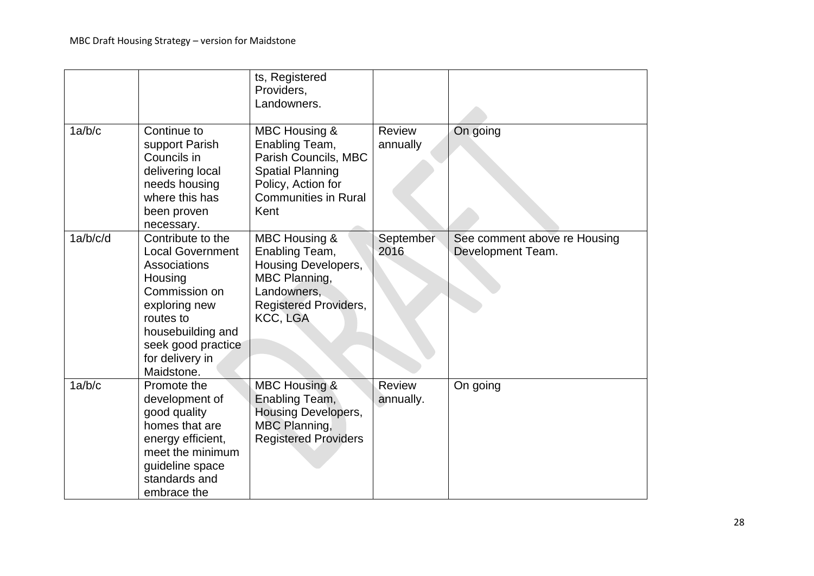|          |                                                                                                                                                                                                    | ts, Registered<br>Providers,<br>Landowners.                                                                                                                |                           |                                                   |
|----------|----------------------------------------------------------------------------------------------------------------------------------------------------------------------------------------------------|------------------------------------------------------------------------------------------------------------------------------------------------------------|---------------------------|---------------------------------------------------|
| 1a/b/c   | Continue to<br>support Parish<br>Councils in<br>delivering local<br>needs housing<br>where this has<br>been proven<br>necessary.                                                                   | <b>MBC Housing &amp;</b><br>Enabling Team,<br>Parish Councils, MBC<br><b>Spatial Planning</b><br>Policy, Action for<br><b>Communities in Rural</b><br>Kent | <b>Review</b><br>annually | On going                                          |
| 1a/b/c/d | Contribute to the<br><b>Local Government</b><br>Associations<br>Housing<br>Commission on<br>exploring new<br>routes to<br>housebuilding and<br>seek good practice<br>for delivery in<br>Maidstone. | MBC Housing &<br>Enabling Team,<br>Housing Developers,<br>MBC Planning,<br>Landowners,<br><b>Registered Providers,</b><br><b>KCC, LGA</b>                  | September<br>2016         | See comment above re Housing<br>Development Team. |
| 1a/b/c   | Promote the<br>development of<br>good quality<br>homes that are<br>energy efficient,<br>meet the minimum<br>guideline space<br>standards and<br>embrace the                                        | <b>MBC Housing &amp;</b><br>Enabling Team,<br><b>Housing Developers,</b><br>MBC Planning,<br><b>Registered Providers</b>                                   | Review<br>annually.       | On going                                          |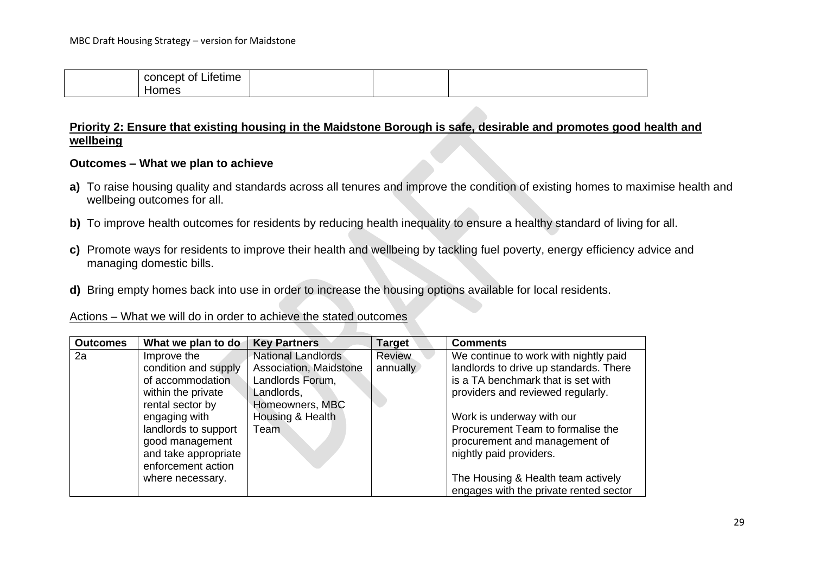| $\cdot$ .<br>. .<br>$   -$<br>nn r<br>--<br>.<br>CONCEDI 1<br>Lileume<br>v |  |  |
|----------------------------------------------------------------------------|--|--|
| nes                                                                        |  |  |

#### **Priority 2: Ensure that existing housing in the Maidstone Borough is safe, desirable and promotes good health and wellbeing**

#### **Outcomes – What we plan to achieve**

- **a)** To raise housing quality and standards across all tenures and improve the condition of existing homes to maximise health and wellbeing outcomes for all.
- **b)** To improve health outcomes for residents by reducing health inequality to ensure a healthy standard of living for all.
- **c)** Promote ways for residents to improve their health and wellbeing by tackling fuel poverty, energy efficiency advice and managing domestic bills.
- **d)** Bring empty homes back into use in order to increase the housing options available for local residents.

#### Actions – What we will do in order to achieve the stated outcomes

| <b>Outcomes</b> | What we plan to do                                                                    | <b>Key Partners</b>    | <b>Target</b> | <b>Comments</b>                                                                               |
|-----------------|---------------------------------------------------------------------------------------|------------------------|---------------|-----------------------------------------------------------------------------------------------|
| 2a              | Improve the                                                                           | National Landlords     | <b>Review</b> | We continue to work with nightly paid                                                         |
|                 | condition and supply                                                                  | Association, Maidstone | annually      | landlords to drive up standards. There                                                        |
|                 | of accommodation                                                                      | Landlords Forum,       |               | is a TA benchmark that is set with                                                            |
|                 | within the private                                                                    | Landlords,             |               | providers and reviewed regularly.                                                             |
|                 | rental sector by                                                                      | Homeowners, MBC        |               |                                                                                               |
|                 | engaging with                                                                         | Housing & Health       |               | Work is underway with our                                                                     |
|                 | landlords to support<br>good management<br>and take appropriate<br>enforcement action | Team                   |               | Procurement Team to formalise the<br>procurement and management of<br>nightly paid providers. |
|                 | where necessary.                                                                      |                        |               | The Housing & Health team actively                                                            |
|                 |                                                                                       |                        |               | engages with the private rented sector                                                        |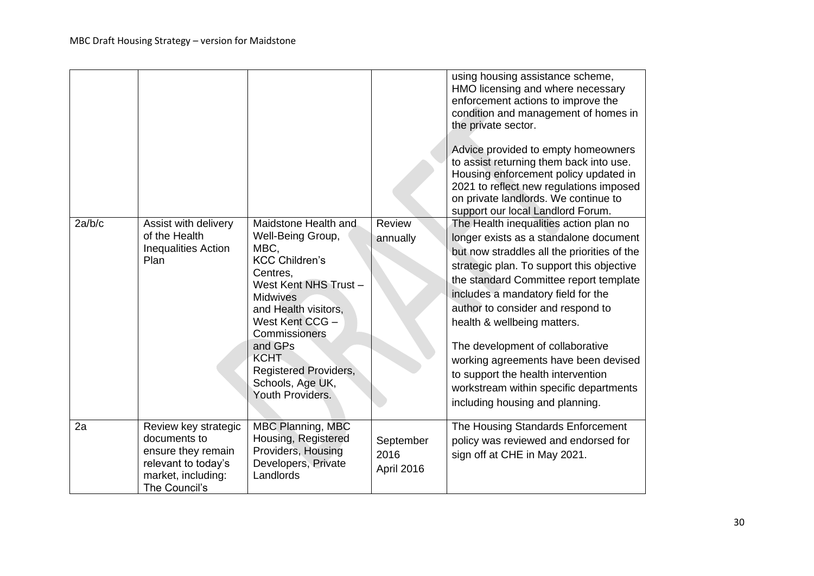|        |                                                                                                                          |                                                                                                                                                                                                                                                                                                  |                                 | using housing assistance scheme,<br>HMO licensing and where necessary<br>enforcement actions to improve the<br>condition and management of homes in<br>the private sector.<br>Advice provided to empty homeowners<br>to assist returning them back into use.<br>Housing enforcement policy updated in<br>2021 to reflect new regulations imposed<br>on private landlords. We continue to<br>support our local Landlord Forum.                                                                                                   |
|--------|--------------------------------------------------------------------------------------------------------------------------|--------------------------------------------------------------------------------------------------------------------------------------------------------------------------------------------------------------------------------------------------------------------------------------------------|---------------------------------|---------------------------------------------------------------------------------------------------------------------------------------------------------------------------------------------------------------------------------------------------------------------------------------------------------------------------------------------------------------------------------------------------------------------------------------------------------------------------------------------------------------------------------|
| 2a/b/c | Assist with delivery<br>of the Health<br><b>Inequalities Action</b><br>Plan                                              | Maidstone Health and<br>Well-Being Group,<br>MBC,<br><b>KCC Children's</b><br>Centres,<br>West Kent NHS Trust -<br><b>Midwives</b><br>and Health visitors,<br>West Kent CCG -<br>Commissioners<br>and GPs<br><b>KCHT</b><br><b>Registered Providers,</b><br>Schools, Age UK,<br>Youth Providers. | Review<br>annually              | The Health inequalities action plan no<br>longer exists as a standalone document<br>but now straddles all the priorities of the<br>strategic plan. To support this objective<br>the standard Committee report template<br>includes a mandatory field for the<br>author to consider and respond to<br>health & wellbeing matters.<br>The development of collaborative<br>working agreements have been devised<br>to support the health intervention<br>workstream within specific departments<br>including housing and planning. |
| 2a     | Review key strategic<br>documents to<br>ensure they remain<br>relevant to today's<br>market, including:<br>The Council's | <b>MBC Planning, MBC</b><br>Housing, Registered<br>Providers, Housing<br>Developers, Private<br>Landlords                                                                                                                                                                                        | September<br>2016<br>April 2016 | The Housing Standards Enforcement<br>policy was reviewed and endorsed for<br>sign off at CHE in May 2021.                                                                                                                                                                                                                                                                                                                                                                                                                       |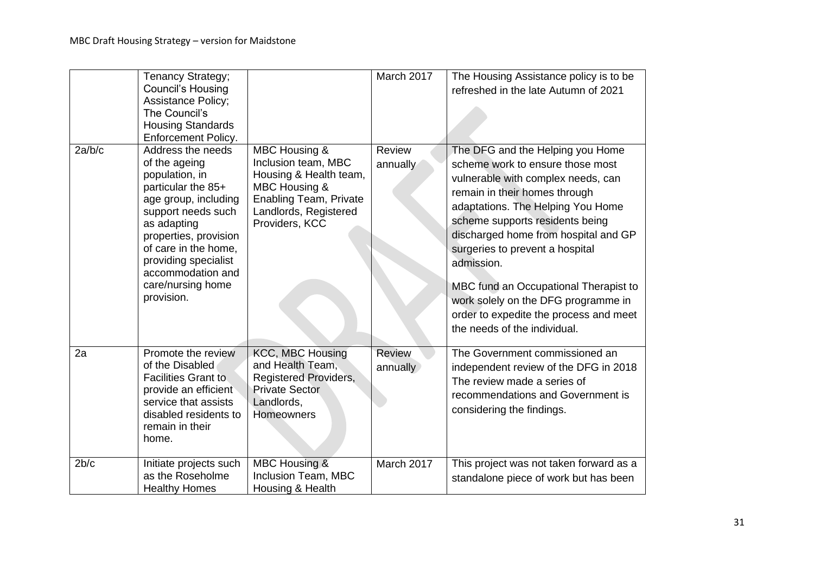|        | Tenancy Strategy;<br><b>Council's Housing</b><br><b>Assistance Policy;</b><br>The Council's<br><b>Housing Standards</b><br>Enforcement Policy.                                                                                                                           |                                                                                                                                                             | March 2017                | The Housing Assistance policy is to be<br>refreshed in the late Autumn of 2021                                                                                                                                                                                                                                                                                                                                                                                         |
|--------|--------------------------------------------------------------------------------------------------------------------------------------------------------------------------------------------------------------------------------------------------------------------------|-------------------------------------------------------------------------------------------------------------------------------------------------------------|---------------------------|------------------------------------------------------------------------------------------------------------------------------------------------------------------------------------------------------------------------------------------------------------------------------------------------------------------------------------------------------------------------------------------------------------------------------------------------------------------------|
| 2a/b/c | Address the needs<br>of the ageing<br>population, in<br>particular the 85+<br>age group, including<br>support needs such<br>as adapting<br>properties, provision<br>of care in the home,<br>providing specialist<br>accommodation and<br>care/nursing home<br>provision. | MBC Housing &<br>Inclusion team, MBC<br>Housing & Health team,<br>MBC Housing &<br><b>Enabling Team, Private</b><br>Landlords, Registered<br>Providers, KCC | <b>Review</b><br>annually | The DFG and the Helping you Home<br>scheme work to ensure those most<br>vulnerable with complex needs, can<br>remain in their homes through<br>adaptations. The Helping You Home<br>scheme supports residents being<br>discharged home from hospital and GP<br>surgeries to prevent a hospital<br>admission.<br>MBC fund an Occupational Therapist to<br>work solely on the DFG programme in<br>order to expedite the process and meet<br>the needs of the individual. |
| 2a     | Promote the review<br>of the Disabled<br><b>Facilities Grant to</b><br>provide an efficient<br>service that assists<br>disabled residents to<br>remain in their<br>home.                                                                                                 | <b>KCC, MBC Housing</b><br>and Health Team,<br><b>Registered Providers,</b><br><b>Private Sector</b><br>Landlords,<br><b>Homeowners</b>                     | <b>Review</b><br>annually | The Government commissioned an<br>independent review of the DFG in 2018<br>The review made a series of<br>recommendations and Government is<br>considering the findings.                                                                                                                                                                                                                                                                                               |
| 2b/c   | Initiate projects such<br>as the Roseholme<br><b>Healthy Homes</b>                                                                                                                                                                                                       | MBC Housing &<br>Inclusion Team, MBC<br>Housing & Health                                                                                                    | March 2017                | This project was not taken forward as a<br>standalone piece of work but has been                                                                                                                                                                                                                                                                                                                                                                                       |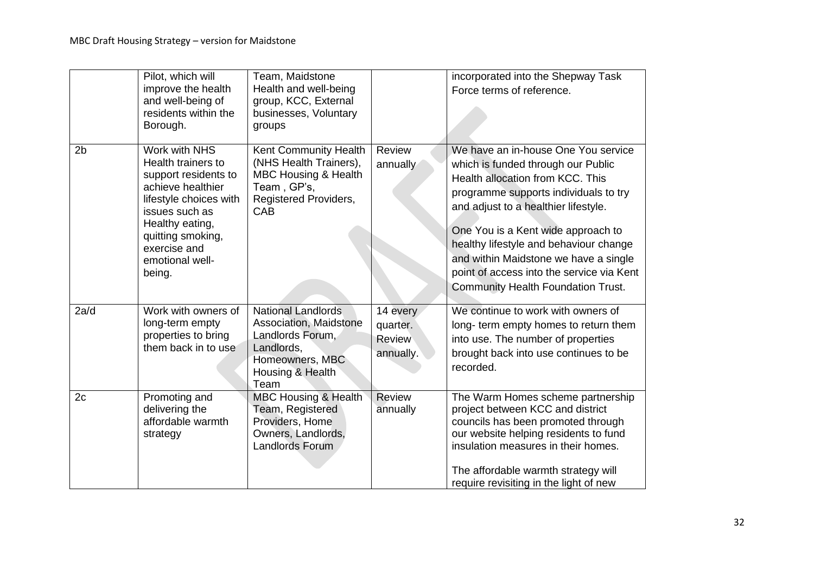|                | Pilot, which will<br>improve the health<br>and well-being of<br>residents within the<br>Borough.                                                                                                                  | Team, Maidstone<br>Health and well-being<br>group, KCC, External<br>businesses, Voluntary<br>groups                                  |                                             | incorporated into the Shepway Task<br>Force terms of reference.                                                                                                                                                                                                                                                                                                                                                   |
|----------------|-------------------------------------------------------------------------------------------------------------------------------------------------------------------------------------------------------------------|--------------------------------------------------------------------------------------------------------------------------------------|---------------------------------------------|-------------------------------------------------------------------------------------------------------------------------------------------------------------------------------------------------------------------------------------------------------------------------------------------------------------------------------------------------------------------------------------------------------------------|
| 2 <sub>b</sub> | Work with NHS<br>Health trainers to<br>support residents to<br>achieve healthier<br>lifestyle choices with<br>issues such as<br>Healthy eating,<br>quitting smoking,<br>exercise and<br>emotional well-<br>being. | Kent Community Health<br>(NHS Health Trainers),<br><b>MBC Housing &amp; Health</b><br>Team, GP's,<br>Registered Providers,<br>CAB    | Review<br>annually                          | We have an in-house One You service<br>which is funded through our Public<br>Health allocation from KCC. This<br>programme supports individuals to try<br>and adjust to a healthier lifestyle.<br>One You is a Kent wide approach to<br>healthy lifestyle and behaviour change<br>and within Maidstone we have a single<br>point of access into the service via Kent<br><b>Community Health Foundation Trust.</b> |
| 2a/d           | Work with owners of<br>long-term empty<br>properties to bring<br>them back in to use                                                                                                                              | <b>National Landlords</b><br>Association, Maidstone<br>Landlords Forum,<br>Landlords,<br>Homeowners, MBC<br>Housing & Health<br>Team | 14 every<br>quarter.<br>Review<br>annually. | We continue to work with owners of<br>long- term empty homes to return them<br>into use. The number of properties<br>brought back into use continues to be<br>recorded.                                                                                                                                                                                                                                           |
| 2c             | Promoting and<br>delivering the<br>affordable warmth<br>strategy                                                                                                                                                  | <b>MBC Housing &amp; Health</b><br>Team, Registered<br>Providers, Home<br>Owners, Landlords,<br><b>Landlords Forum</b>               | Review<br>annually                          | The Warm Homes scheme partnership<br>project between KCC and district<br>councils has been promoted through<br>our website helping residents to fund<br>insulation measures in their homes.<br>The affordable warmth strategy will<br>require revisiting in the light of new                                                                                                                                      |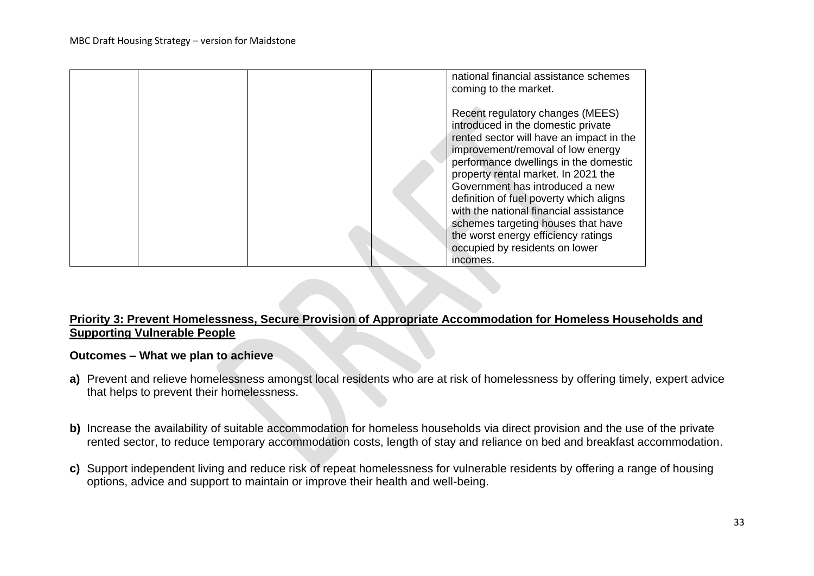|  | national financial assistance schemes<br>coming to the market.<br>Recent regulatory changes (MEES)<br>introduced in the domestic private<br>rented sector will have an impact in the<br>improvement/removal of low energy<br>performance dwellings in the domestic<br>property rental market. In 2021 the<br>Government has introduced a new<br>definition of fuel poverty which aligns<br>with the national financial assistance |
|--|-----------------------------------------------------------------------------------------------------------------------------------------------------------------------------------------------------------------------------------------------------------------------------------------------------------------------------------------------------------------------------------------------------------------------------------|
|  | schemes targeting houses that have<br>the worst energy efficiency ratings<br>occupied by residents on lower<br>incomes.                                                                                                                                                                                                                                                                                                           |

#### **Priority 3: Prevent Homelessness, Secure Provision of Appropriate Accommodation for Homeless Households and Supporting Vulnerable People**

#### **Outcomes – What we plan to achieve**

- **a)** Prevent and relieve homelessness amongst local residents who are at risk of homelessness by offering timely, expert advice that helps to prevent their homelessness.
- **b)** Increase the availability of suitable accommodation for homeless households via direct provision and the use of the private rented sector, to reduce temporary accommodation costs, length of stay and reliance on bed and breakfast accommodation.
- **c)** Support independent living and reduce risk of repeat homelessness for vulnerable residents by offering a range of housing options, advice and support to maintain or improve their health and well-being.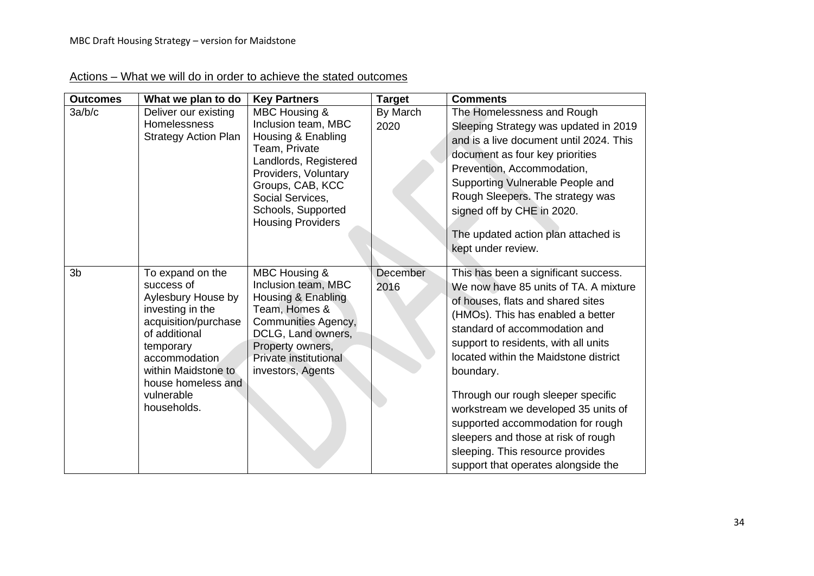| <b>Outcomes</b> | What we plan to do                                                                                                                                                                                                        | <b>Key Partners</b>                                                                                                                                                                                                    | <b>Target</b>    | <b>Comments</b>                                                                                                                                                                                                                                                                                                                                                                                                                                                                                                            |
|-----------------|---------------------------------------------------------------------------------------------------------------------------------------------------------------------------------------------------------------------------|------------------------------------------------------------------------------------------------------------------------------------------------------------------------------------------------------------------------|------------------|----------------------------------------------------------------------------------------------------------------------------------------------------------------------------------------------------------------------------------------------------------------------------------------------------------------------------------------------------------------------------------------------------------------------------------------------------------------------------------------------------------------------------|
| 3a/b/c          | Deliver our existing<br><b>Homelessness</b><br><b>Strategy Action Plan</b>                                                                                                                                                | MBC Housing &<br>Inclusion team, MBC<br>Housing & Enabling<br>Team, Private<br>Landlords, Registered<br>Providers, Voluntary<br>Groups, CAB, KCC<br>Social Services,<br>Schools, Supported<br><b>Housing Providers</b> | By March<br>2020 | The Homelessness and Rough<br>Sleeping Strategy was updated in 2019<br>and is a live document until 2024. This<br>document as four key priorities<br>Prevention, Accommodation,<br>Supporting Vulnerable People and<br>Rough Sleepers. The strategy was<br>signed off by CHE in 2020.<br>The updated action plan attached is<br>kept under review.                                                                                                                                                                         |
| 3 <sub>b</sub>  | To expand on the<br>success of<br>Aylesbury House by<br>investing in the<br>acquisition/purchase<br>of additional<br>temporary<br>accommodation<br>within Maidstone to<br>house homeless and<br>vulnerable<br>households. | MBC Housing &<br>Inclusion team, MBC<br>Housing & Enabling<br>Team, Homes &<br>Communities Agency,<br>DCLG, Land owners,<br>Property owners,<br>Private institutional<br>investors, Agents                             | December<br>2016 | This has been a significant success.<br>We now have 85 units of TA. A mixture<br>of houses, flats and shared sites<br>(HMOs). This has enabled a better<br>standard of accommodation and<br>support to residents, with all units<br>located within the Maidstone district<br>boundary.<br>Through our rough sleeper specific<br>workstream we developed 35 units of<br>supported accommodation for rough<br>sleepers and those at risk of rough<br>sleeping. This resource provides<br>support that operates alongside the |

# Actions – What we will do in order to achieve the stated outcomes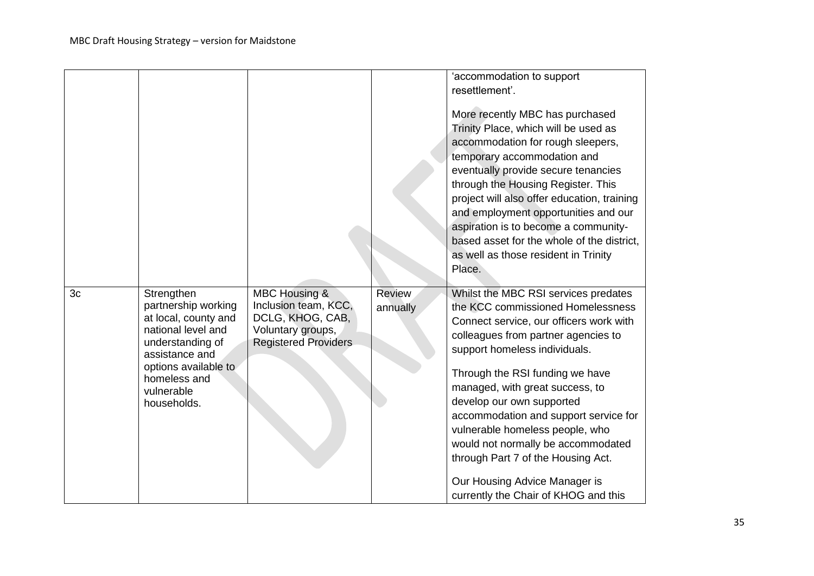|    |                                                                                                                                                                                            |                                                                                                                          |                    | 'accommodation to support<br>resettlement'.<br>More recently MBC has purchased<br>Trinity Place, which will be used as<br>accommodation for rough sleepers,<br>temporary accommodation and<br>eventually provide secure tenancies<br>through the Housing Register. This<br>project will also offer education, training<br>and employment opportunities and our<br>aspiration is to become a community-<br>based asset for the whole of the district,<br>as well as those resident in Trinity<br>Place.                           |
|----|--------------------------------------------------------------------------------------------------------------------------------------------------------------------------------------------|--------------------------------------------------------------------------------------------------------------------------|--------------------|----------------------------------------------------------------------------------------------------------------------------------------------------------------------------------------------------------------------------------------------------------------------------------------------------------------------------------------------------------------------------------------------------------------------------------------------------------------------------------------------------------------------------------|
| 3c | Strengthen<br>partnership working<br>at local, county and<br>national level and<br>understanding of<br>assistance and<br>options available to<br>homeless and<br>vulnerable<br>households. | <b>MBC Housing &amp;</b><br>Inclusion team, KCC,<br>DCLG, KHOG, CAB,<br>Voluntary groups,<br><b>Registered Providers</b> | Review<br>annually | Whilst the MBC RSI services predates<br>the KCC commissioned Homelessness<br>Connect service, our officers work with<br>colleagues from partner agencies to<br>support homeless individuals.<br>Through the RSI funding we have<br>managed, with great success, to<br>develop our own supported<br>accommodation and support service for<br>vulnerable homeless people, who<br>would not normally be accommodated<br>through Part 7 of the Housing Act.<br>Our Housing Advice Manager is<br>currently the Chair of KHOG and this |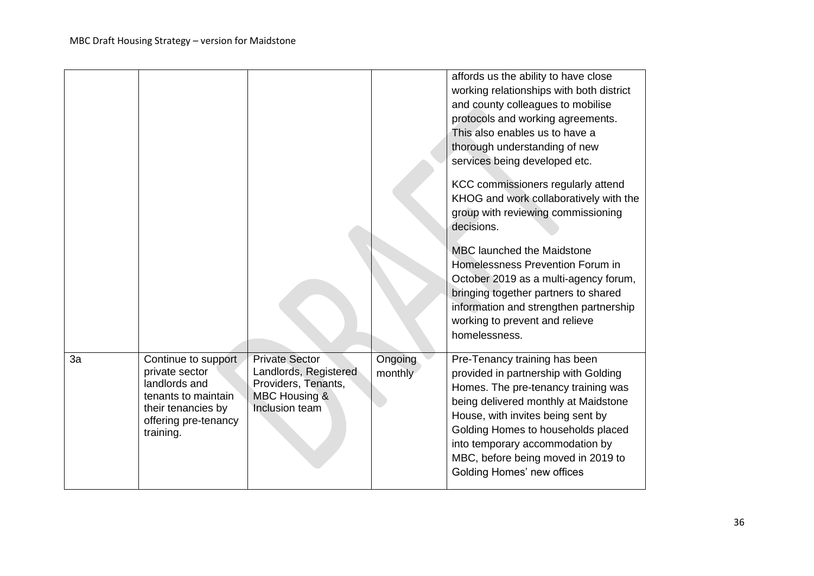|    |                                                                                                                                          |                                                                                                                     |                    | affords us the ability to have close<br>working relationships with both district<br>and county colleagues to mobilise<br>protocols and working agreements.<br>This also enables us to have a<br>thorough understanding of new<br>services being developed etc.<br>KCC commissioners regularly attend<br>KHOG and work collaboratively with the<br>group with reviewing commissioning<br>decisions. |
|----|------------------------------------------------------------------------------------------------------------------------------------------|---------------------------------------------------------------------------------------------------------------------|--------------------|----------------------------------------------------------------------------------------------------------------------------------------------------------------------------------------------------------------------------------------------------------------------------------------------------------------------------------------------------------------------------------------------------|
|    |                                                                                                                                          |                                                                                                                     |                    | <b>MBC</b> launched the Maidstone<br>Homelessness Prevention Forum in<br>October 2019 as a multi-agency forum,<br>bringing together partners to shared<br>information and strengthen partnership<br>working to prevent and relieve<br>homelessness.                                                                                                                                                |
| 3a | Continue to support<br>private sector<br>landlords and<br>tenants to maintain<br>their tenancies by<br>offering pre-tenancy<br>training. | <b>Private Sector</b><br>Landlords, Registered<br>Providers, Tenants,<br><b>MBC Housing &amp;</b><br>Inclusion team | Ongoing<br>monthly | Pre-Tenancy training has been<br>provided in partnership with Golding<br>Homes. The pre-tenancy training was<br>being delivered monthly at Maidstone<br>House, with invites being sent by<br>Golding Homes to households placed<br>into temporary accommodation by<br>MBC, before being moved in 2019 to<br>Golding Homes' new offices                                                             |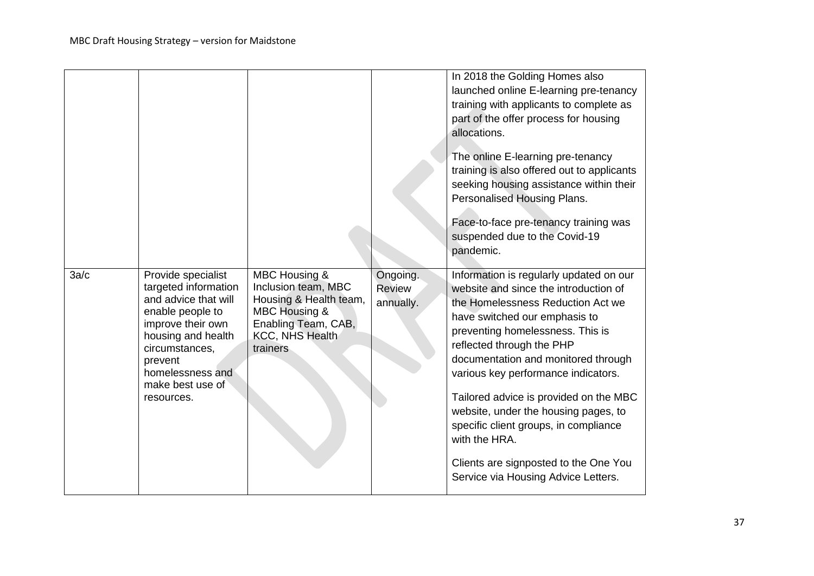|      |                                                                                                                                                                                                                      |                                                                                                                                                  |                                        | In 2018 the Golding Homes also<br>launched online E-learning pre-tenancy<br>training with applicants to complete as<br>part of the offer process for housing<br>allocations.<br>The online E-learning pre-tenancy<br>training is also offered out to applicants<br>seeking housing assistance within their<br>Personalised Housing Plans.<br>Face-to-face pre-tenancy training was<br>suspended due to the Covid-19<br>pandemic.                                                                                                  |
|------|----------------------------------------------------------------------------------------------------------------------------------------------------------------------------------------------------------------------|--------------------------------------------------------------------------------------------------------------------------------------------------|----------------------------------------|-----------------------------------------------------------------------------------------------------------------------------------------------------------------------------------------------------------------------------------------------------------------------------------------------------------------------------------------------------------------------------------------------------------------------------------------------------------------------------------------------------------------------------------|
| 3a/c | Provide specialist<br>targeted information<br>and advice that will<br>enable people to<br>improve their own<br>housing and health<br>circumstances,<br>prevent<br>homelessness and<br>make best use of<br>resources. | MBC Housing &<br>Inclusion team, MBC<br>Housing & Health team,<br><b>MBC Housing &amp;</b><br>Enabling Team, CAB,<br>KCC, NHS Health<br>trainers | Ongoing.<br><b>Review</b><br>annually. | Information is regularly updated on our<br>website and since the introduction of<br>the Homelessness Reduction Act we<br>have switched our emphasis to<br>preventing homelessness. This is<br>reflected through the PHP<br>documentation and monitored through<br>various key performance indicators.<br>Tailored advice is provided on the MBC<br>website, under the housing pages, to<br>specific client groups, in compliance<br>with the HRA.<br>Clients are signposted to the One You<br>Service via Housing Advice Letters. |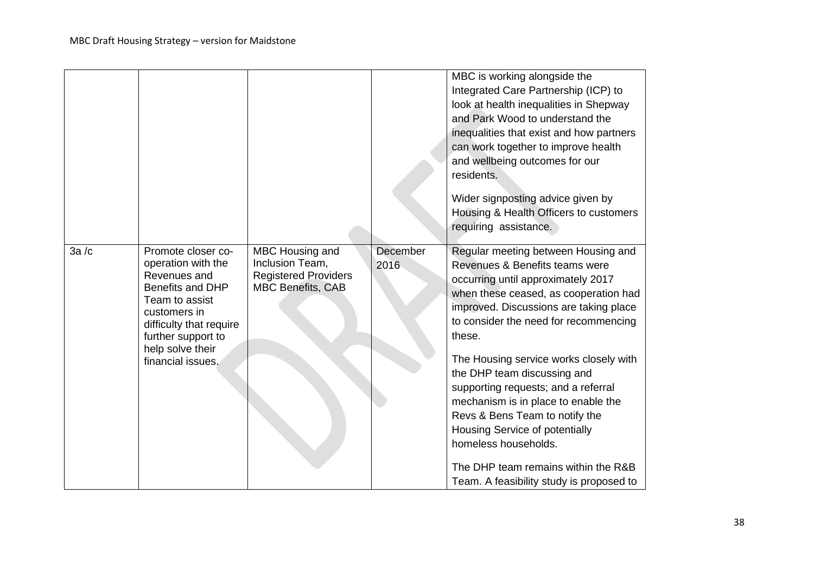|      |                                                                                                                                                                        |                                                                                               |                  | MBC is working alongside the<br>Integrated Care Partnership (ICP) to<br>look at health inequalities in Shepway<br>and Park Wood to understand the<br>inequalities that exist and how partners<br>can work together to improve health<br>and wellbeing outcomes for our<br>residents.<br>Wider signposting advice given by<br>Housing & Health Officers to customers<br>requiring assistance. |
|------|------------------------------------------------------------------------------------------------------------------------------------------------------------------------|-----------------------------------------------------------------------------------------------|------------------|----------------------------------------------------------------------------------------------------------------------------------------------------------------------------------------------------------------------------------------------------------------------------------------------------------------------------------------------------------------------------------------------|
| 3a/c | Promote closer co-<br>operation with the<br>Revenues and<br><b>Benefits and DHP</b><br>Team to assist<br>customers in<br>difficulty that require<br>further support to | MBC Housing and<br>Inclusion Team,<br><b>Registered Providers</b><br><b>MBC Benefits, CAB</b> | December<br>2016 | Regular meeting between Housing and<br>Revenues & Benefits teams were<br>occurring until approximately 2017<br>when these ceased, as cooperation had<br>improved. Discussions are taking place<br>to consider the need for recommencing<br>these.                                                                                                                                            |
|      | help solve their<br>financial issues.                                                                                                                                  |                                                                                               |                  | The Housing service works closely with<br>the DHP team discussing and<br>supporting requests; and a referral<br>mechanism is in place to enable the<br>Revs & Bens Team to notify the<br>Housing Service of potentially<br>homeless households.                                                                                                                                              |
|      |                                                                                                                                                                        |                                                                                               |                  | The DHP team remains within the R&B<br>Team. A feasibility study is proposed to                                                                                                                                                                                                                                                                                                              |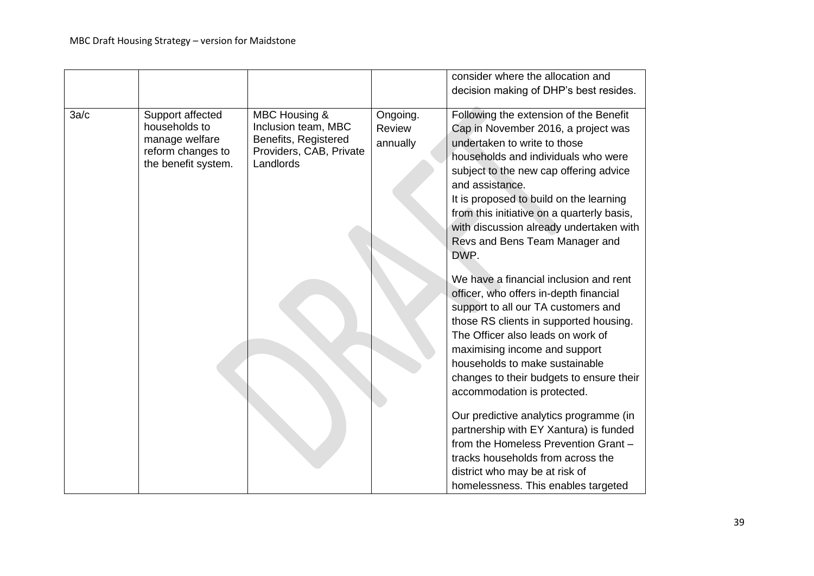|      |                                                                                                 |                                                                                                      |                                | consider where the allocation and<br>decision making of DHP's best resides.                                                                                                                                                                                                                                                                                                                     |
|------|-------------------------------------------------------------------------------------------------|------------------------------------------------------------------------------------------------------|--------------------------------|-------------------------------------------------------------------------------------------------------------------------------------------------------------------------------------------------------------------------------------------------------------------------------------------------------------------------------------------------------------------------------------------------|
| 3a/c | Support affected<br>households to<br>manage welfare<br>reform changes to<br>the benefit system. | MBC Housing &<br>Inclusion team, MBC<br>Benefits, Registered<br>Providers, CAB, Private<br>Landlords | Ongoing.<br>Review<br>annually | Following the extension of the Benefit<br>Cap in November 2016, a project was<br>undertaken to write to those<br>households and individuals who were<br>subject to the new cap offering advice<br>and assistance.<br>It is proposed to build on the learning<br>from this initiative on a quarterly basis,<br>with discussion already undertaken with<br>Revs and Bens Team Manager and<br>DWP. |
|      |                                                                                                 |                                                                                                      |                                | We have a financial inclusion and rent<br>officer, who offers in-depth financial<br>support to all our TA customers and<br>those RS clients in supported housing.<br>The Officer also leads on work of<br>maximising income and support<br>households to make sustainable<br>changes to their budgets to ensure their<br>accommodation is protected.                                            |
|      |                                                                                                 |                                                                                                      |                                | Our predictive analytics programme (in<br>partnership with EY Xantura) is funded<br>from the Homeless Prevention Grant -<br>tracks households from across the<br>district who may be at risk of<br>homelessness. This enables targeted                                                                                                                                                          |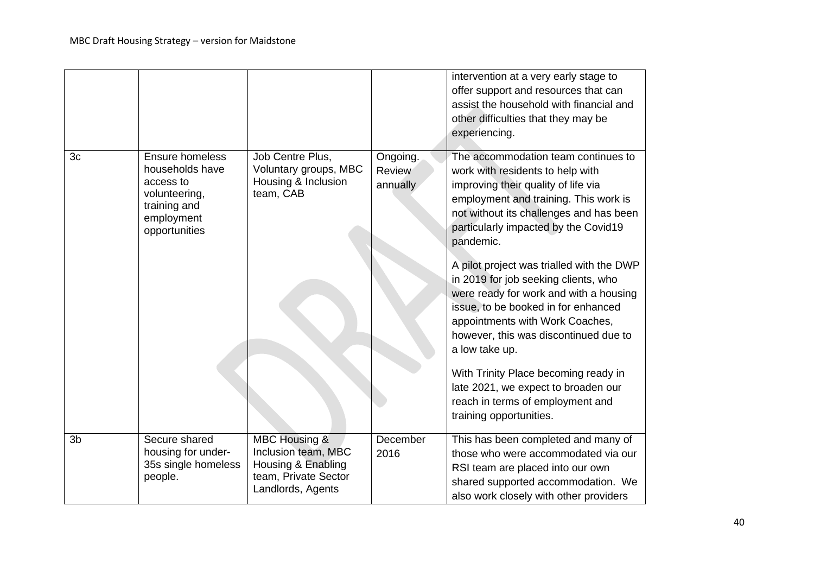|                |                                                                                                                        |                                                                                                                    |                                       | intervention at a very early stage to<br>offer support and resources that can<br>assist the household with financial and<br>other difficulties that they may be<br>experiencing.                                                                                                                                                                                                                                                                                                                                                                                                                                                                                          |
|----------------|------------------------------------------------------------------------------------------------------------------------|--------------------------------------------------------------------------------------------------------------------|---------------------------------------|---------------------------------------------------------------------------------------------------------------------------------------------------------------------------------------------------------------------------------------------------------------------------------------------------------------------------------------------------------------------------------------------------------------------------------------------------------------------------------------------------------------------------------------------------------------------------------------------------------------------------------------------------------------------------|
| 3 <sub>c</sub> | <b>Ensure homeless</b><br>households have<br>access to<br>volunteering,<br>training and<br>employment<br>opportunities | Job Centre Plus,<br>Voluntary groups, MBC<br>Housing & Inclusion<br>team, CAB                                      | Ongoing.<br><b>Review</b><br>annually | The accommodation team continues to<br>work with residents to help with<br>improving their quality of life via<br>employment and training. This work is<br>not without its challenges and has been<br>particularly impacted by the Covid19<br>pandemic.<br>A pilot project was trialled with the DWP<br>in 2019 for job seeking clients, who<br>were ready for work and with a housing<br>issue, to be booked in for enhanced<br>appointments with Work Coaches,<br>however, this was discontinued due to<br>a low take up.<br>With Trinity Place becoming ready in<br>late 2021, we expect to broaden our<br>reach in terms of employment and<br>training opportunities. |
| 3 <sub>b</sub> | Secure shared<br>housing for under-<br>35s single homeless<br>people.                                                  | <b>MBC Housing &amp;</b><br>Inclusion team, MBC<br>Housing & Enabling<br>team, Private Sector<br>Landlords, Agents | December<br>2016                      | This has been completed and many of<br>those who were accommodated via our<br>RSI team are placed into our own<br>shared supported accommodation. We<br>also work closely with other providers                                                                                                                                                                                                                                                                                                                                                                                                                                                                            |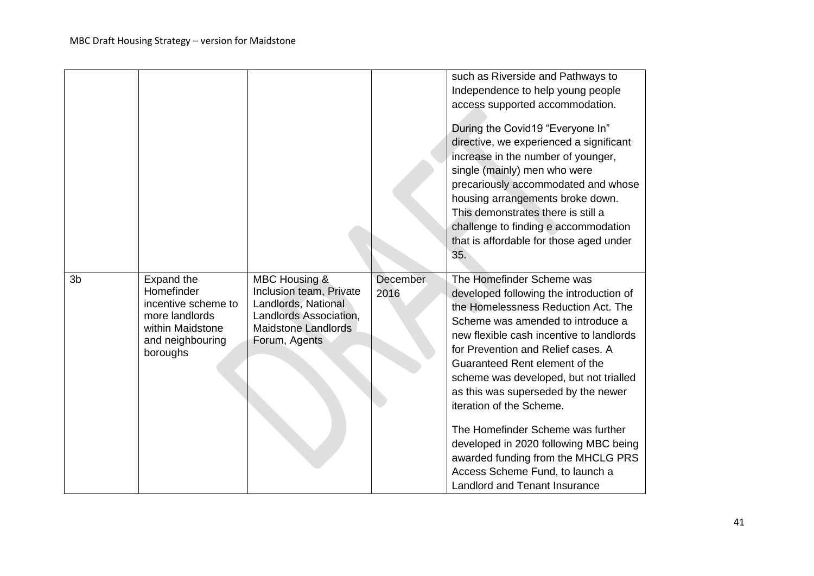|                |                                                                                                                              |                                                                                                                                          |                         | such as Riverside and Pathways to<br>Independence to help young people<br>access supported accommodation.<br>During the Covid19 "Everyone In"<br>directive, we experienced a significant<br>increase in the number of younger,<br>single (mainly) men who were<br>precariously accommodated and whose<br>housing arrangements broke down.<br>This demonstrates there is still a<br>challenge to finding e accommodation<br>that is affordable for those aged under<br>35.                                                                                                        |
|----------------|------------------------------------------------------------------------------------------------------------------------------|------------------------------------------------------------------------------------------------------------------------------------------|-------------------------|----------------------------------------------------------------------------------------------------------------------------------------------------------------------------------------------------------------------------------------------------------------------------------------------------------------------------------------------------------------------------------------------------------------------------------------------------------------------------------------------------------------------------------------------------------------------------------|
| 3 <sub>b</sub> | <b>Expand the</b><br>Homefinder<br>incentive scheme to<br>more landlords<br>within Maidstone<br>and neighbouring<br>boroughs | MBC Housing &<br>Inclusion team, Private<br>Landlords, National<br>Landlords Association,<br><b>Maidstone Landlords</b><br>Forum, Agents | <b>December</b><br>2016 | The Homefinder Scheme was<br>developed following the introduction of<br>the Homelessness Reduction Act. The<br>Scheme was amended to introduce a<br>new flexible cash incentive to landlords<br>for Prevention and Relief cases. A<br>Guaranteed Rent element of the<br>scheme was developed, but not trialled<br>as this was superseded by the newer<br>iteration of the Scheme.<br>The Homefinder Scheme was further<br>developed in 2020 following MBC being<br>awarded funding from the MHCLG PRS<br>Access Scheme Fund, to launch a<br><b>Landlord and Tenant Insurance</b> |